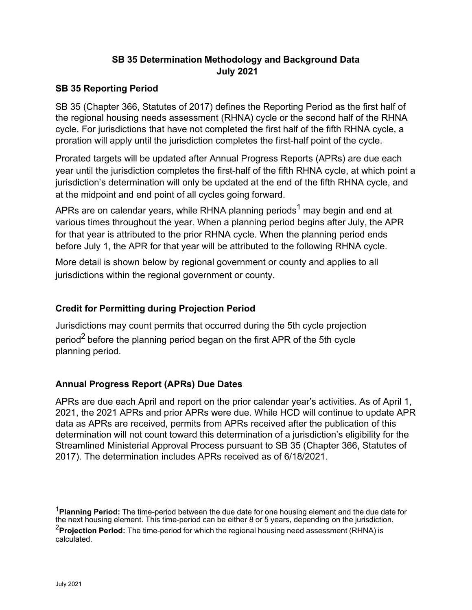#### **SB 35 Determination Methodology and Background Data July 2021**

#### **SB 35 Reporting Period**

SB 35 (Chapter 366, Statutes of 2017) defines the Reporting Period as the first half of the regional housing needs assessment (RHNA) cycle or the second half of the RHNA cycle. For jurisdictions that have not completed the first half of the fifth RHNA cycle, a proration will apply until the jurisdiction completes the first-half point of the cycle.

Prorated targets will be updated after Annual Progress Reports (APRs) are due each year until the jurisdiction completes the first-half of the fifth RHNA cycle, at which point a jurisdiction's determination will only be updated at the end of the fifth RHNA cycle, and at the midpoint and end point of all cycles going forward.

APRs are on calendar years, while RHNA planning periods<sup>1</sup> may begin and end at various times throughout the year. When a planning period begins after July, the APR for that year is attributed to the prior RHNA cycle. When the planning period ends before July 1, the APR for that year will be attributed to the following RHNA cycle.

More detail is shown below by regional government or county and applies to all jurisdictions within the regional government or county.

#### **Credit for Permitting during Projection Period**

Jurisdictions may count permits that occurred during the 5th cycle projection period<sup>2</sup> before the planning period began on the first APR of the 5th cycle planning period.

#### **Annual Progress Report (APRs) Due Dates**

<span id="page-0-1"></span><span id="page-0-0"></span>APRs are due each April and report on the prior calendar year's activities. As of April 1, 2021, the 2021 APRs and prior APRs were due. While HCD will continue to update APR data as APRs are received, permits from APRs received after the publication of this determination will not count toward this determination of a jurisdiction's eligibility for the Streamlined Ministerial Approval Process pursuant to SB 35 (Chapter 366, Statutes of 2017). The determination includes APRs received as of 6/18/2021.

<sup>1</sup>**Planning Period:** The time-period between the due date for one housing element and the due date for the next housing element. This time-period can be either 8 or 5 years, depending on the jurisdiction. <sup>2</sup>Projection Period: The time-period for which the regional housing need assessment (RHNA) is calculated.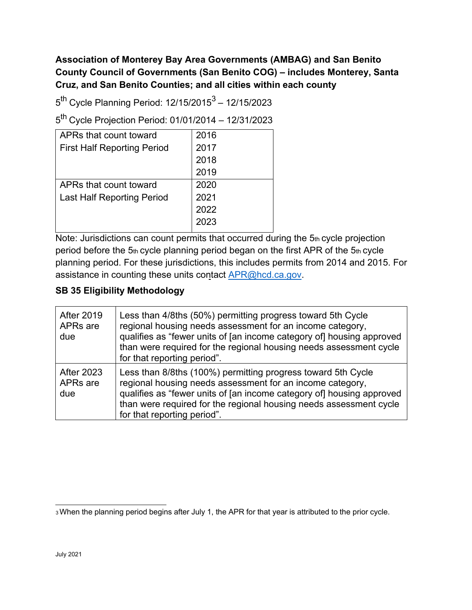### **Association of Monterey Bay Area Governments (AMBAG) and San Benito County Council of Governments (San Benito COG) – includes Monterey, Santa Cruz, and San Benito Counties; and all cities within each county**

 $5^{th}$  Cycle Planning Period: 12/15/2015<sup>3</sup> – 12/15/2023

5th Cycle Projection Period: 01/01/2014 – 12/31/2023

| APRs that count toward             | 2016 |
|------------------------------------|------|
| <b>First Half Reporting Period</b> | 2017 |
|                                    | 2018 |
|                                    | 2019 |
| APRs that count toward             | 2020 |
| <b>Last Half Reporting Period</b>  | 2021 |
|                                    | 2022 |
|                                    | 2023 |
|                                    |      |

Note: Jurisdictions can count permits that occurred during the 5th cycle projection period before the 5th cycle planning period began on the first APR of the 5th cycle planning period. For these jurisdictions, this includes permits from 2014 and 2015. For assistance in counting these units contact **APR@hcd.ca.gov.** 

| <b>After 2019</b><br>APRs are<br>due | Less than 4/8ths (50%) permitting progress toward 5th Cycle<br>regional housing needs assessment for an income category,<br>qualifies as "fewer units of [an income category of] housing approved<br>than were required for the regional housing needs assessment cycle<br>for that reporting period".  |
|--------------------------------------|---------------------------------------------------------------------------------------------------------------------------------------------------------------------------------------------------------------------------------------------------------------------------------------------------------|
| <b>After 2023</b><br>APRs are<br>due | Less than 8/8ths (100%) permitting progress toward 5th Cycle<br>regional housing needs assessment for an income category,<br>qualifies as "fewer units of [an income category of] housing approved<br>than were required for the regional housing needs assessment cycle<br>for that reporting period". |

<span id="page-1-0"></span><sup>3</sup> When the planning period begins after July 1, the APR for that year is attributed to the prior cycle.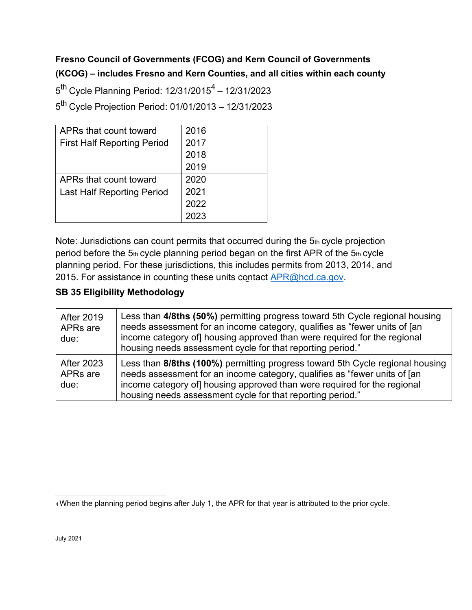## **Fresno Council of Governments (FCOG) and Kern Council of Governments (KCOG) – includes Fresno and Kern Counties, and all cities within each county**

 $5^{th}$  Cycle Planning Period: 12/31/2015<sup>4</sup> - 12/31/2023 5th Cycle Projection Period: 01/01/2013 – 12/31/2023

| APRs that count toward             | 2016 |
|------------------------------------|------|
| <b>First Half Reporting Period</b> | 2017 |
|                                    | 2018 |
|                                    | 2019 |
| APRs that count toward             | 2020 |
| <b>Last Half Reporting Period</b>  | 2021 |
|                                    | 2022 |
|                                    |      |

Note: Jurisdictions can count permits that occurred during the 5th cycle projection period before the 5th cycle planning period began on the first APR of the 5th cycle planning period. For these jurisdictions, this includes permits from 2013, 2014, and 2015. For assistance in counting these units contact [APR@hcd.ca.gov.](mailto:APR@hcd.ca.gov)

| <b>After 2019</b><br>APRs are<br>due:             | Less than 4/8ths (50%) permitting progress toward 5th Cycle regional housing<br>needs assessment for an income category, qualifies as "fewer units of [an<br>income category of] housing approved than were required for the regional<br>housing needs assessment cycle for that reporting period." |
|---------------------------------------------------|-----------------------------------------------------------------------------------------------------------------------------------------------------------------------------------------------------------------------------------------------------------------------------------------------------|
| <b>After 2023</b><br>APR <sub>s</sub> are<br>due: | Less than 8/8ths (100%) permitting progress toward 5th Cycle regional housing<br>needs assessment for an income category, qualifies as "fewer units of [an<br>income category of housing approved than were required for the regional<br>housing needs assessment cycle for that reporting period." |

<span id="page-2-0"></span><sup>4</sup> When the planning period begins after July 1, the APR for that year is attributed to the prior cycle.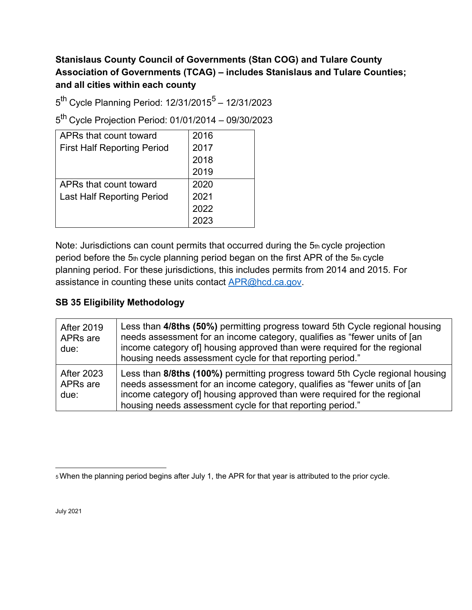### **Stanislaus County Council of Governments (Stan COG) and Tulare County Association of Governments (TCAG) – includes Stanislaus and Tulare Counties; and all cities within each county**

 $5<sup>th</sup>$  Cycle Planning Period: 12/31/2015<sup>5</sup> – 12/31/2023

5th Cycle Projection Period: 01/01/2014 – 09/30/2023

| APRs that count toward             | 2016 |
|------------------------------------|------|
| <b>First Half Reporting Period</b> | 2017 |
|                                    | 2018 |
|                                    | 2019 |
| APRs that count toward             | 2020 |
| <b>Last Half Reporting Period</b>  | 2021 |
|                                    | 2022 |
|                                    | 2023 |

Note: Jurisdictions can count permits that occurred during the 5th cycle projection period before the 5th cycle planning period began on the first APR of the 5th cycle planning period. For these jurisdictions, this includes permits from 2014 and 2015. For assistance in counting these units contact **APR@hcd.ca.gov.** 

#### **SB 35 Eligibility Methodology**

| <b>After 2019</b><br>APRs are<br>due: | Less than 4/8ths (50%) permitting progress toward 5th Cycle regional housing<br>needs assessment for an income category, qualifies as "fewer units of [an<br>income category of housing approved than were required for the regional<br>housing needs assessment cycle for that reporting period."   |
|---------------------------------------|------------------------------------------------------------------------------------------------------------------------------------------------------------------------------------------------------------------------------------------------------------------------------------------------------|
| <b>After 2023</b><br>APRs are<br>due: | Less than 8/8ths (100%) permitting progress toward 5th Cycle regional housing<br>needs assessment for an income category, qualifies as "fewer units of [an<br>income category of] housing approved than were required for the regional<br>housing needs assessment cycle for that reporting period." |

July 2021

<span id="page-3-0"></span><sup>5</sup> When the planning period begins after July 1, the APR for that year is attributed to the prior cycle.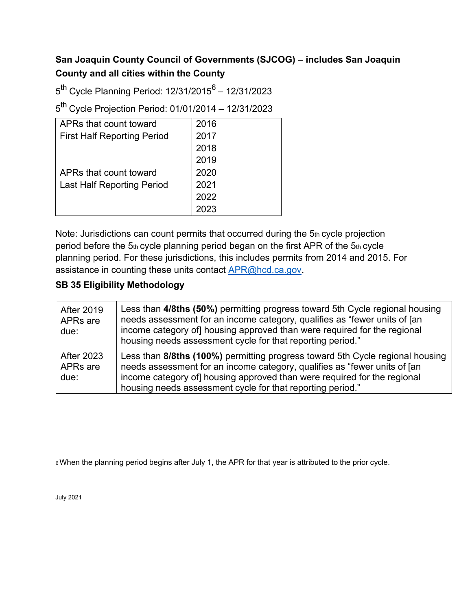### **San Joaquin County Council of Governments (SJCOG) – includes San Joaquin County and all cities within the County**

 $5^{th}$  Cycle Planning Period: 12/31/2015<sup>6</sup> – 12/31/2023

5th Cycle Projection Period: 01/01/2014 – 12/31/2023

| APRs that count toward             | 2016 |
|------------------------------------|------|
| <b>First Half Reporting Period</b> | 2017 |
|                                    | 2018 |
|                                    | 2019 |
| APRs that count toward             | 2020 |
| <b>Last Half Reporting Period</b>  | 2021 |
|                                    | 2022 |
|                                    | 2023 |

Note: Jurisdictions can count permits that occurred during the 5th cycle projection period before the  $5<sub>th</sub>$  cycle planning period began on the first APR of the  $5<sub>th</sub>$  cycle planning period. For these jurisdictions, this includes permits from 2014 and 2015. For assistance in counting these units contact **APR@hcd.ca.gov.** 

| <b>After 2019</b><br>APRs are<br>due: | Less than 4/8ths (50%) permitting progress toward 5th Cycle regional housing<br>needs assessment for an income category, qualifies as "fewer units of [an<br>income category of housing approved than were required for the regional<br>housing needs assessment cycle for that reporting period."   |
|---------------------------------------|------------------------------------------------------------------------------------------------------------------------------------------------------------------------------------------------------------------------------------------------------------------------------------------------------|
| <b>After 2023</b><br>APRs are<br>due: | Less than 8/8ths (100%) permitting progress toward 5th Cycle regional housing<br>needs assessment for an income category, qualifies as "fewer units of [an<br>income category of] housing approved than were required for the regional<br>housing needs assessment cycle for that reporting period." |

<span id="page-4-0"></span><sup>6</sup> When the planning period begins after July 1, the APR for that year is attributed to the prior cycle.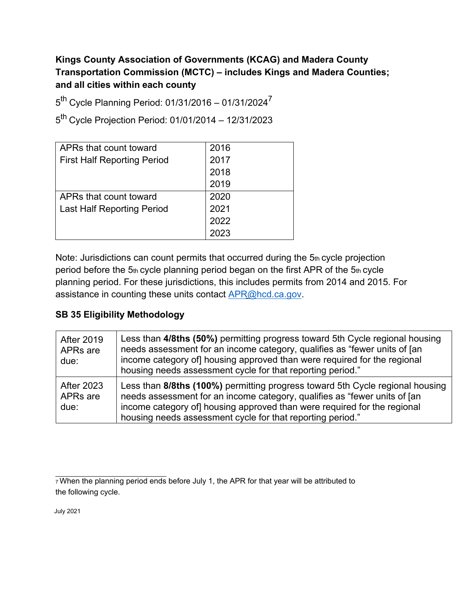### **Kings County Association of Governments (KCAG) and Madera County Transportation Commission (MCTC) – includes Kings and Madera Counties; and all cities within each county**

 $5^{th}$  Cycle Planning Period: 01/31/2016 – 01/31/2024 $^7$ 

5th Cycle Projection Period: 01/01/2014 – 12/31/2023

| APRs that count toward             | 2016 |
|------------------------------------|------|
| <b>First Half Reporting Period</b> | 2017 |
|                                    | 2018 |
|                                    | 2019 |
| APRs that count toward             | 2020 |
| <b>Last Half Reporting Period</b>  | 2021 |
|                                    | 2022 |
|                                    | 2023 |

<span id="page-5-0"></span>Note: Jurisdictions can count permits that occurred during the 5th cycle projection period before the  $5<sub>th</sub>$  cycle planning period began on the first APR of the  $5<sub>th</sub>$  cycle planning period. For these jurisdictions, this includes permits from 2014 and 2015. For assistance in counting these units contact **APR@hcd.ca.gov.** 

#### **SB 35 Eligibility Methodology**

| <b>After 2019</b><br>APRs are<br>due:             | Less than 4/8ths (50%) permitting progress toward 5th Cycle regional housing<br>needs assessment for an income category, qualifies as "fewer units of [an<br>income category of housing approved than were required for the regional<br>housing needs assessment cycle for that reporting period."   |
|---------------------------------------------------|------------------------------------------------------------------------------------------------------------------------------------------------------------------------------------------------------------------------------------------------------------------------------------------------------|
| <b>After 2023</b><br>APR <sub>s</sub> are<br>due: | Less than 8/8ths (100%) permitting progress toward 5th Cycle regional housing<br>needs assessment for an income category, qualifies as "fewer units of [an<br>income category of] housing approved than were required for the regional<br>housing needs assessment cycle for that reporting period." |

July 2021

 $7$  When the planning period ends before July 1, the APR for that year will be attributed to the following cycle.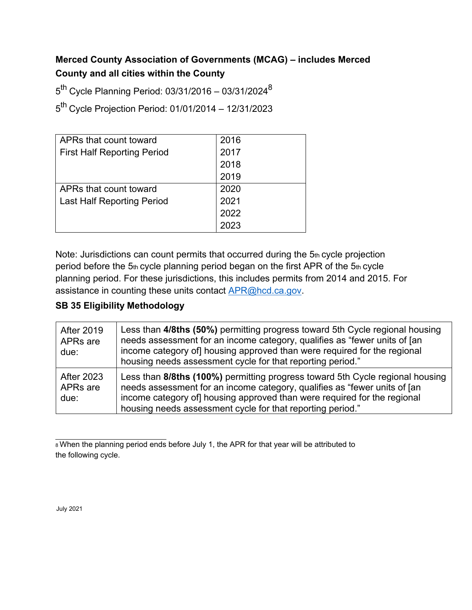### **Merced County Association of Governments (MCAG) – includes Merced County and all cities within the County**

 $5^{th}$  Cycle Planning Period: 03/31/2016 - 03/31/2024 $^{8}$ 

5th Cycle Projection Period: 01/01/2014 – 12/31/2023

| APRs that count toward             | 2016 |
|------------------------------------|------|
| <b>First Half Reporting Period</b> | 2017 |
|                                    | 2018 |
|                                    | 2019 |
| APRs that count toward             | 2020 |
| <b>Last Half Reporting Period</b>  | 2021 |
|                                    | 2022 |
|                                    | 2023 |

Note: Jurisdictions can count permits that occurred during the 5th cycle projection period before the 5th cycle planning period began on the first APR of the 5th cycle planning period. For these jurisdictions, this includes permits from 2014 and 2015. For assistance in counting these units contact [APR@hcd.ca.gov.](mailto:APR@hcd.ca.gov)

#### **SB 35 Eligibility Methodology**

| <b>After 2019</b><br>APRs are<br>due: | Less than 4/8ths (50%) permitting progress toward 5th Cycle regional housing<br>needs assessment for an income category, qualifies as "fewer units of [an<br>income category of housing approved than were required for the regional<br>housing needs assessment cycle for that reporting period."   |
|---------------------------------------|------------------------------------------------------------------------------------------------------------------------------------------------------------------------------------------------------------------------------------------------------------------------------------------------------|
| <b>After 2023</b><br>APRs are<br>due: | Less than 8/8ths (100%) permitting progress toward 5th Cycle regional housing<br>needs assessment for an income category, qualifies as "fewer units of [an<br>income category of] housing approved than were required for the regional<br>housing needs assessment cycle for that reporting period." |

8 When the planning period ends before July 1, the APR for that year will be attributed to the following cycle.

July 2021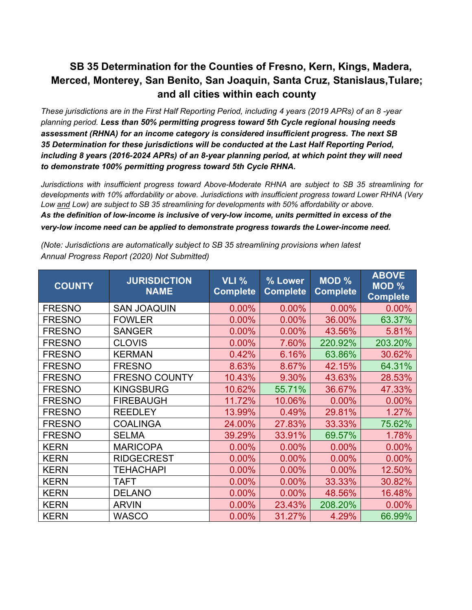# **SB 35 Determination for the Counties of Fresno, Kern, Kings, Madera, Merced, Monterey, San Benito, San Joaquin, Santa Cruz, Stanislaus,Tulare; and all cities within each county**

*These jurisdictions are in the First Half Reporting Period, including 4 years (2019 APRs) of an 8 -year planning period. Less than 50% permitting progress toward 5th Cycle regional housing needs assessment (RHNA) for an income category is considered insufficient progress. The next SB 35 Determination for these jurisdictions will be conducted at the Last Half Reporting Period, including 8 years (2016-2024 APRs) of an 8-year planning period, at which point they will need to demonstrate 100% permitting progress toward 5th Cycle RHNA.*

*Jurisdictions with insufficient progress toward Above-Moderate RHNA are subject to SB 35 streamlining for developments with 10% affordability or above. Jurisdictions with insufficient progress toward Lower RHNA (Very Low and Low) are subject to SB 35 streamlining for developments with 50% affordability or above. As the definition of low-income is inclusive of very-low income, units permitted in excess of the very-low income need can be applied to demonstrate progress towards the Lower-income need.* 

| <b>COUNTY</b> | <b>JURISDICTION</b><br><b>NAME</b> | <b>VLI %</b><br><b>Complete</b> | % Lower<br><b>Complete</b> | <b>MOD %</b><br><b>Complete</b> | <b>ABOVE</b><br>$\overline{MOD}$ %<br><b>Complete</b> |
|---------------|------------------------------------|---------------------------------|----------------------------|---------------------------------|-------------------------------------------------------|
| <b>FRESNO</b> | <b>SAN JOAQUIN</b>                 | 0.00%                           | 0.00%                      | 0.00%                           | 0.00%                                                 |
| <b>FRESNO</b> | <b>FOWLER</b>                      | 0.00%                           | 0.00%                      | 36.00%                          | 63.37%                                                |
| <b>FRESNO</b> | <b>SANGER</b>                      | 0.00%                           | 0.00%                      | 43.56%                          | 5.81%                                                 |
| <b>FRESNO</b> | <b>CLOVIS</b>                      | 0.00%                           | 7.60%                      | 220.92%                         | 203.20%                                               |
| <b>FRESNO</b> | <b>KERMAN</b>                      | 0.42%                           | 6.16%                      | 63.86%                          | 30.62%                                                |
| <b>FRESNO</b> | <b>FRESNO</b>                      | 8.63%                           | 8.67%                      | 42.15%                          | 64.31%                                                |
| <b>FRESNO</b> | <b>FRESNO COUNTY</b>               | 10.43%                          | 9.30%                      | 43.63%                          | 28.53%                                                |
| <b>FRESNO</b> | <b>KINGSBURG</b>                   | 10.62%                          | 55.71%                     | 36.67%                          | 47.33%                                                |
| <b>FRESNO</b> | <b>FIREBAUGH</b>                   | 11.72%                          | 10.06%                     | 0.00%                           | 0.00%                                                 |
| <b>FRESNO</b> | <b>REEDLEY</b>                     | 13.99%                          | 0.49%                      | 29.81%                          | 1.27%                                                 |
| <b>FRESNO</b> | <b>COALINGA</b>                    | 24.00%                          | 27.83%                     | 33.33%                          | 75.62%                                                |
| <b>FRESNO</b> | <b>SELMA</b>                       | 39.29%                          | 33.91%                     | 69.57%                          | 1.78%                                                 |
| <b>KERN</b>   | <b>MARICOPA</b>                    | 0.00%                           | 0.00%                      | 0.00%                           | 0.00%                                                 |
| <b>KERN</b>   | <b>RIDGECREST</b>                  | 0.00%                           | 0.00%                      | 0.00%                           | 0.00%                                                 |
| <b>KERN</b>   | <b>TEHACHAPI</b>                   | 0.00%                           | 0.00%                      | 0.00%                           | 12.50%                                                |
| <b>KERN</b>   | <b>TAFT</b>                        | 0.00%                           | 0.00%                      | 33.33%                          | 30.82%                                                |
| <b>KERN</b>   | <b>DELANO</b>                      | 0.00%                           | 0.00%                      | 48.56%                          | 16.48%                                                |
| <b>KERN</b>   | <b>ARVIN</b>                       | 0.00%                           | 23.43%                     | 208.20%                         | 0.00%                                                 |
| <b>KERN</b>   | <b>WASCO</b>                       | 0.00%                           | 31.27%                     | 4.29%                           | 66.99%                                                |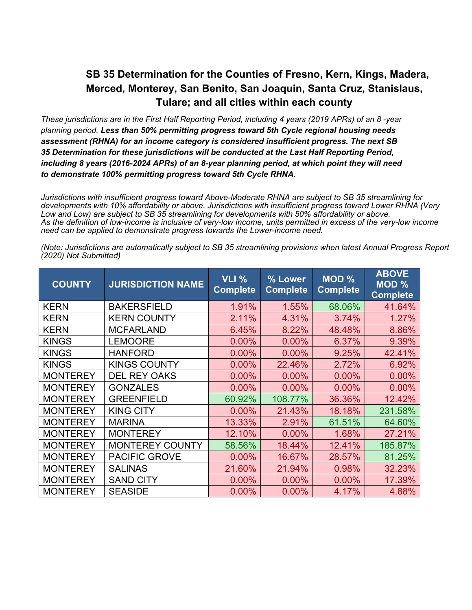### **SB 35 Determination for the Counties of Fresno, Kern, Kings, Madera, Merced, Monterey, San Benito, San Joaquin, Santa Cruz, Stanislaus, Tulare; and all cities within each county**

*These jurisdictions are in the First Half Reporting Period, including 4 years (2019 APRs) of an 8 -year planning period. Less than 50% permitting progress toward 5th Cycle regional housing needs assessment (RHNA) for an income category is considered insufficient progress. The next SB 35 Determination for these jurisdictions will be conducted at the Last Half Reporting Period, including 8 years (2016-2024 APRs) of an 8-year planning period, at which point they will need to demonstrate 100% permitting progress toward 5th Cycle RHNA.*

*Jurisdictions with insufficient progress toward Above-Moderate RHNA are subject to SB 35 streamlining for developments with 10% affordability or above. Jurisdictions with insufficient progress toward Lower RHNA (Very Low and Low) are subject to SB 35 streamlining for developments with 50% affordability or above. As the definition of low-income is inclusive of very-low income, units permitted in excess of the very-low income need can be applied to demonstrate progress towards the Lower-income need.*

| <b>COUNTY</b>   | <b>JURISDICTION NAME</b> | VLI %<br><b>Complete</b> | % Lower<br><b>Complete</b> | <b>MOD %</b><br><b>Complete</b> | <b>ABOVE</b><br><b>MOD %</b><br><b>Complete</b> |
|-----------------|--------------------------|--------------------------|----------------------------|---------------------------------|-------------------------------------------------|
| <b>KERN</b>     | <b>BAKERSFIELD</b>       | 1.91%                    | 1.55%                      | 68.06%                          | 41.64%                                          |
| <b>KERN</b>     | <b>KERN COUNTY</b>       | 2.11%                    | 4.31%                      | 3.74%                           | 1.27%                                           |
| <b>KERN</b>     | <b>MCFARLAND</b>         | 6.45%                    | 8.22%                      | 48.48%                          | 8.86%                                           |
| <b>KINGS</b>    | <b>LEMOORE</b>           | 0.00%                    | 0.00%                      | 6.37%                           | 9.39%                                           |
| <b>KINGS</b>    | <b>HANFORD</b>           | 0.00%                    | 0.00%                      | 9.25%                           | 42.41%                                          |
| <b>KINGS</b>    | <b>KINGS COUNTY</b>      | 0.00%                    | 22.46%                     | 2.72%                           | 6.92%                                           |
| <b>MONTEREY</b> | <b>DEL REY OAKS</b>      | 0.00%                    | 0.00%                      | 0.00%                           | 0.00%                                           |
| <b>MONTEREY</b> | <b>GONZALES</b>          | 0.00%                    | 0.00%                      | 0.00%                           | 0.00%                                           |
| <b>MONTEREY</b> | <b>GREENFIELD</b>        | 60.92%                   | 108.77%                    | 36.36%                          | 12.42%                                          |
| <b>MONTEREY</b> | <b>KING CITY</b>         | 0.00%                    | 21.43%                     | 18.18%                          | 231.58%                                         |
| <b>MONTEREY</b> | <b>MARINA</b>            | 13.33%                   | 2.91%                      | 61.51%                          | 64.60%                                          |
| <b>MONTEREY</b> | <b>MONTEREY</b>          | 12.10%                   | 0.00%                      | 1.68%                           | 27.21%                                          |
| <b>MONTEREY</b> | <b>MONTEREY COUNTY</b>   | 58.56%                   | 18.44%                     | 12.41%                          | 185.87%                                         |
| <b>MONTEREY</b> | <b>PACIFIC GROVE</b>     | 0.00%                    | 16.67%                     | 28.57%                          | 81.25%                                          |
| <b>MONTEREY</b> | <b>SALINAS</b>           | 21.60%                   | 21.94%                     | 0.98%                           | 32.23%                                          |
| <b>MONTEREY</b> | <b>SAND CITY</b>         | 0.00%                    | 0.00%                      | 0.00%                           | 17.39%                                          |
| <b>MONTEREY</b> | <b>SEASIDE</b>           | 0.00%                    | 0.00%                      | 4.17%                           | 4.88%                                           |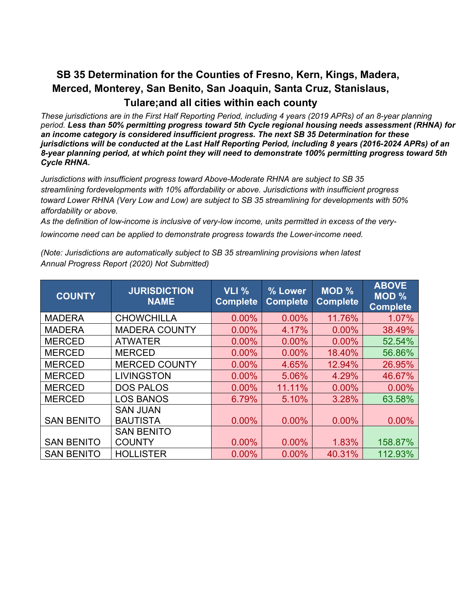# **SB 35 Determination for the Counties of Fresno, Kern, Kings, Madera, Merced, Monterey, San Benito, San Joaquin, Santa Cruz, Stanislaus, Tulare;and all cities within each county**

*These jurisdictions are in the First Half Reporting Period, including 4 years (2019 APRs) of an 8-year planning period. Less than 50% permitting progress toward 5th Cycle regional housing needs assessment (RHNA) for an income category is considered insufficient progress. The next SB 35 Determination for these jurisdictions will be conducted at the Last Half Reporting Period, including 8 years (2016-2024 APRs) of an 8-year planning period, at which point they will need to demonstrate 100% permitting progress toward 5th Cycle RHNA.*

*Jurisdictions with insufficient progress toward Above-Moderate RHNA are subject to SB 35 streamlining fordevelopments with 10% affordability or above. Jurisdictions with insufficient progress toward Lower RHNA (Very Low and Low) are subject to SB 35 streamlining for developments with 50% affordability or above.*

*As the definition of low-income is inclusive of very-low income, units permitted in excess of the very-*

*lowincome need can be applied to demonstrate progress towards the Lower-income need.*

| <b>COUNTY</b>     | <b>JURISDICTION</b><br><b>NAME</b> | <b>VLI %</b><br><b>Complete</b> | % Lower<br><b>Complete</b> | <b>MOD %</b><br><b>Complete</b> | <b>ABOVE</b><br>MOD %<br><b>Complete</b> |
|-------------------|------------------------------------|---------------------------------|----------------------------|---------------------------------|------------------------------------------|
| <b>MADERA</b>     | <b>CHOWCHILLA</b>                  | 0.00%                           | 0.00%                      | 11.76%                          | 1.07%                                    |
| <b>MADERA</b>     | <b>MADERA COUNTY</b>               | 0.00%                           | 4.17%                      | 0.00%                           | 38.49%                                   |
| <b>MERCED</b>     | <b>ATWATER</b>                     | 0.00%                           | 0.00%                      | 0.00%                           | 52.54%                                   |
| <b>MERCED</b>     | <b>MERCED</b>                      | 0.00%                           | 0.00%                      | 18.40%                          | 56.86%                                   |
| <b>MERCED</b>     | <b>MERCED COUNTY</b>               | 0.00%                           | 4.65%                      | 12.94%                          | 26.95%                                   |
| <b>MERCED</b>     | <b>LIVINGSTON</b>                  | 0.00%                           | 5.06%                      | 4.29%                           | 46.67%                                   |
| <b>MERCED</b>     | <b>DOS PALOS</b>                   | 0.00%                           | 11.11%                     | 0.00%                           | 0.00%                                    |
| <b>MERCED</b>     | <b>LOS BANOS</b>                   | 6.79%                           | 5.10%                      | 3.28%                           | 63.58%                                   |
|                   | <b>SAN JUAN</b>                    |                                 |                            |                                 |                                          |
| <b>SAN BENITO</b> | <b>BAUTISTA</b>                    | 0.00%                           | 0.00%                      | 0.00%                           | 0.00%                                    |
|                   | <b>SAN BENITO</b>                  |                                 |                            |                                 |                                          |
| <b>SAN BENITO</b> | <b>COUNTY</b>                      | 0.00%                           | 0.00%                      | 1.83%                           | 158.87%                                  |
| <b>SAN BENITO</b> | <b>HOLLISTER</b>                   | 0.00%                           | 0.00%                      | 40.31%                          | 112.93%                                  |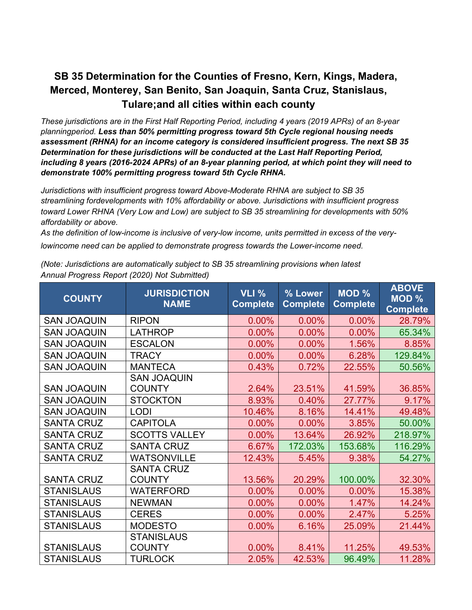# **SB 35 Determination for the Counties of Fresno, Kern, Kings, Madera, Merced, Monterey, San Benito, San Joaquin, Santa Cruz, Stanislaus, Tulare;and all cities within each county**

*These jurisdictions are in the First Half Reporting Period, including 4 years (2019 APRs) of an 8-year planningperiod. Less than 50% permitting progress toward 5th Cycle regional housing needs assessment (RHNA) for an income category is considered insufficient progress. The next SB 35 Determination for these jurisdictions will be conducted at the Last Half Reporting Period, including 8 years (2016-2024 APRs) of an 8-year planning period, at which point they will need to demonstrate 100% permitting progress toward 5th Cycle RHNA.*

*Jurisdictions with insufficient progress toward Above-Moderate RHNA are subject to SB 35 streamlining fordevelopments with 10% affordability or above. Jurisdictions with insufficient progress toward Lower RHNA (Very Low and Low) are subject to SB 35 streamlining for developments with 50% affordability or above.*

*As the definition of low-income is inclusive of very-low income, units permitted in excess of the verylowincome need can be applied to demonstrate progress towards the Lower-income need.*

| <b>COUNTY</b>      | <b>JURISDICTION</b><br><b>NAME</b> | <b>VLI %</b><br><b>Complete</b> | % Lower<br><b>Complete</b> | <b>MOD %</b><br><b>Complete</b> | <b>ABOVE</b><br><b>MOD %</b><br><b>Complete</b> |
|--------------------|------------------------------------|---------------------------------|----------------------------|---------------------------------|-------------------------------------------------|
| <b>SAN JOAQUIN</b> | <b>RIPON</b>                       | 0.00%                           | 0.00%                      | 0.00%                           | 28.79%                                          |
| <b>SAN JOAQUIN</b> | <b>LATHROP</b>                     | 0.00%                           | 0.00%                      | 0.00%                           | 65.34%                                          |
| <b>SAN JOAQUIN</b> | <b>ESCALON</b>                     | 0.00%                           | 0.00%                      | 1.56%                           | 8.85%                                           |
| <b>SAN JOAQUIN</b> | <b>TRACY</b>                       | 0.00%                           | 0.00%                      | 6.28%                           | 129.84%                                         |
| <b>SAN JOAQUIN</b> | <b>MANTECA</b>                     | 0.43%                           | 0.72%                      | 22.55%                          | 50.56%                                          |
|                    | <b>SAN JOAQUIN</b>                 |                                 |                            |                                 |                                                 |
| <b>SAN JOAQUIN</b> | <b>COUNTY</b>                      | 2.64%                           | 23.51%                     | 41.59%                          | 36.85%                                          |
| <b>SAN JOAQUIN</b> | <b>STOCKTON</b>                    | 8.93%                           | 0.40%                      | 27.77%                          | 9.17%                                           |
| <b>SAN JOAQUIN</b> | <b>LODI</b>                        | 10.46%                          | 8.16%                      | 14.41%                          | 49.48%                                          |
| <b>SANTA CRUZ</b>  | <b>CAPITOLA</b>                    | 0.00%                           | 0.00%                      | 3.85%                           | 50.00%                                          |
| <b>SANTA CRUZ</b>  | <b>SCOTTS VALLEY</b>               | 0.00%                           | 13.64%                     | 26.92%                          | 218.97%                                         |
| <b>SANTA CRUZ</b>  | <b>SANTA CRUZ</b>                  | 6.67%                           | 172.03%                    | 153.68%                         | 116.29%                                         |
| <b>SANTA CRUZ</b>  | <b>WATSONVILLE</b>                 | 12.43%                          | 5.45%                      | 9.38%                           | 54.27%                                          |
|                    | <b>SANTA CRUZ</b>                  |                                 |                            |                                 |                                                 |
| <b>SANTA CRUZ</b>  | <b>COUNTY</b>                      | 13.56%                          | 20.29%                     | 100.00%                         | 32.30%                                          |
| <b>STANISLAUS</b>  | <b>WATERFORD</b>                   | 0.00%                           | 0.00%                      | 0.00%                           | 15.38%                                          |
| <b>STANISLAUS</b>  | <b>NEWMAN</b>                      | 0.00%                           | 0.00%                      | 1.47%                           | 14.24%                                          |
| <b>STANISLAUS</b>  | <b>CERES</b>                       | 0.00%                           | 0.00%                      | 2.47%                           | 5.25%                                           |
| <b>STANISLAUS</b>  | <b>MODESTO</b>                     | 0.00%                           | 6.16%                      | 25.09%                          | 21.44%                                          |
|                    | <b>STANISLAUS</b>                  |                                 |                            |                                 |                                                 |
| <b>STANISLAUS</b>  | <b>COUNTY</b>                      | 0.00%                           | 8.41%                      | 11.25%                          | 49.53%                                          |
| <b>STANISLAUS</b>  | <b>TURLOCK</b>                     | 2.05%                           | 42.53%                     | 96.49%                          | 11.28%                                          |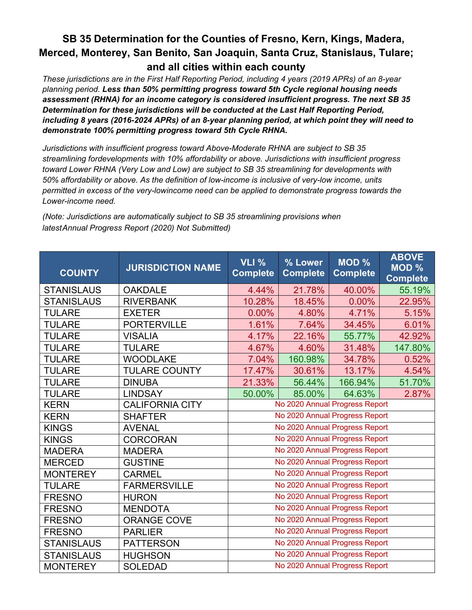# **SB 35 Determination for the Counties of Fresno, Kern, Kings, Madera, Merced, Monterey, San Benito, San Joaquin, Santa Cruz, Stanislaus, Tulare; and all cities within each county**

*These jurisdictions are in the First Half Reporting Period, including 4 years (2019 APRs) of an 8-year planning period. Less than 50% permitting progress toward 5th Cycle regional housing needs assessment (RHNA) for an income category is considered insufficient progress. The next SB 35 Determination for these jurisdictions will be conducted at the Last Half Reporting Period, including 8 years (2016-2024 APRs) of an 8-year planning period, at which point they will need to demonstrate 100% permitting progress toward 5th Cycle RHNA.*

*Jurisdictions with insufficient progress toward Above-Moderate RHNA are subject to SB 35 streamlining fordevelopments with 10% affordability or above. Jurisdictions with insufficient progress toward Lower RHNA (Very Low and Low) are subject to SB 35 streamlining for developments with 50% affordability or above. As the definition of low-income is inclusive of very-low income, units permitted in excess of the very-lowincome need can be applied to demonstrate progress towards the Lower-income need.*

| <b>COUNTY</b>     | <b>JURISDICTION NAME</b> | <b>VLI %</b><br><b>Complete</b> | % Lower<br><b>Complete</b> | <b>MOD %</b><br><b>Complete</b> | <b>ABOVE</b><br>MOD %<br><b>Complete</b> |
|-------------------|--------------------------|---------------------------------|----------------------------|---------------------------------|------------------------------------------|
| <b>STANISLAUS</b> | <b>OAKDALE</b>           | 4.44%                           | 21.78%                     | 40.00%                          | 55.19%                                   |
| <b>STANISLAUS</b> | <b>RIVERBANK</b>         | 10.28%                          | 18.45%                     | $0.00\%$                        | 22.95%                                   |
| <b>TULARE</b>     | <b>EXETER</b>            | 0.00%                           | 4.80%                      | 4.71%                           | 5.15%                                    |
| <b>TULARE</b>     | <b>PORTERVILLE</b>       | 1.61%                           | 7.64%                      | 34.45%                          | 6.01%                                    |
| <b>TULARE</b>     | <b>VISALIA</b>           | 4.17%                           | 22.16%                     | 55.77%                          | 42.92%                                   |
| <b>TULARE</b>     | <b>TULARE</b>            | 4.67%                           | 4.60%                      | 31.48%                          | 147.80%                                  |
| <b>TULARE</b>     | <b>WOODLAKE</b>          | 7.04%                           | 160.98%                    | 34.78%                          | 0.52%                                    |
| <b>TULARE</b>     | <b>TULARE COUNTY</b>     | 17.47%                          | 30.61%                     | 13.17%                          | 4.54%                                    |
| <b>TULARE</b>     | <b>DINUBA</b>            | 21.33%                          | 56.44%                     | 166.94%                         | 51.70%                                   |
| <b>TULARE</b>     | <b>LINDSAY</b>           | 50.00%                          | 85.00%                     | 64.63%                          | 2.87%                                    |
| <b>KERN</b>       | <b>CALIFORNIA CITY</b>   |                                 |                            | No 2020 Annual Progress Report  |                                          |
| <b>KERN</b>       | <b>SHAFTER</b>           |                                 |                            | No 2020 Annual Progress Report  |                                          |
| <b>KINGS</b>      | <b>AVENAL</b>            |                                 |                            | No 2020 Annual Progress Report  |                                          |
| <b>KINGS</b>      | <b>CORCORAN</b>          |                                 |                            | No 2020 Annual Progress Report  |                                          |
| <b>MADERA</b>     | <b>MADERA</b>            |                                 |                            | No 2020 Annual Progress Report  |                                          |
| <b>MERCED</b>     | <b>GUSTINE</b>           |                                 |                            | No 2020 Annual Progress Report  |                                          |
| <b>MONTEREY</b>   | <b>CARMEL</b>            |                                 |                            | No 2020 Annual Progress Report  |                                          |
| <b>TULARE</b>     | <b>FARMERSVILLE</b>      |                                 |                            | No 2020 Annual Progress Report  |                                          |
| <b>FRESNO</b>     | <b>HURON</b>             |                                 |                            | No 2020 Annual Progress Report  |                                          |
| <b>FRESNO</b>     | <b>MENDOTA</b>           |                                 |                            | No 2020 Annual Progress Report  |                                          |
| <b>FRESNO</b>     | <b>ORANGE COVE</b>       |                                 |                            | No 2020 Annual Progress Report  |                                          |
| <b>FRESNO</b>     | <b>PARLIER</b>           |                                 |                            | No 2020 Annual Progress Report  |                                          |
| <b>STANISLAUS</b> | <b>PATTERSON</b>         |                                 |                            | No 2020 Annual Progress Report  |                                          |
| <b>STANISLAUS</b> | <b>HUGHSON</b>           |                                 |                            | No 2020 Annual Progress Report  |                                          |
| <b>MONTEREY</b>   | <b>SOLEDAD</b>           |                                 |                            | No 2020 Annual Progress Report  |                                          |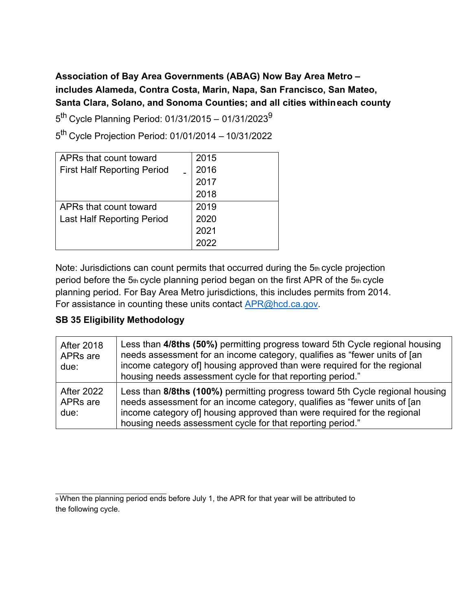# **Association of Bay Area Governments (ABAG) Now Bay Area Metro – includes Alameda, Contra Costa, Marin, Napa, San Francisco, San Mateo, Santa Clara, Solano, and Sonoma Counties; and all cities withineach county**

 $5^{th}$  Cycle Planning Period: 01/31/2015 – 01/31/2023 $^{9}$ 

5th Cycle Projection Period: 01/01/2014 – 10/31/2022

| APRs that count toward             | 2015 |
|------------------------------------|------|
| <b>First Half Reporting Period</b> | 2016 |
|                                    | 2017 |
|                                    | 2018 |
| APRs that count toward             | 2019 |
| <b>Last Half Reporting Period</b>  | 2020 |
|                                    | 2021 |
|                                    |      |

Note: Jurisdictions can count permits that occurred during the 5th cycle projection period before the  $5<sub>th</sub>$  cycle planning period began on the first APR of the  $5<sub>th</sub>$  cycle planning period. For Bay Area Metro jurisdictions, this includes permits from 2014. For assistance in counting these units contact [APR@hcd.ca.gov.](mailto:APR@hcd.ca.gov)

| <b>After 2018</b><br>APRs are<br>due:             | Less than 4/8ths (50%) permitting progress toward 5th Cycle regional housing<br>needs assessment for an income category, qualifies as "fewer units of [an<br>income category of housing approved than were required for the regional<br>housing needs assessment cycle for that reporting period."   |
|---------------------------------------------------|------------------------------------------------------------------------------------------------------------------------------------------------------------------------------------------------------------------------------------------------------------------------------------------------------|
| <b>After 2022</b><br>APR <sub>s</sub> are<br>due: | Less than 8/8ths (100%) permitting progress toward 5th Cycle regional housing<br>needs assessment for an income category, qualifies as "fewer units of [an<br>income category of] housing approved than were required for the regional<br>housing needs assessment cycle for that reporting period." |

<span id="page-12-0"></span><sup>9</sup> When the planning period ends before July 1, the APR for that year will be attributed to the following cycle.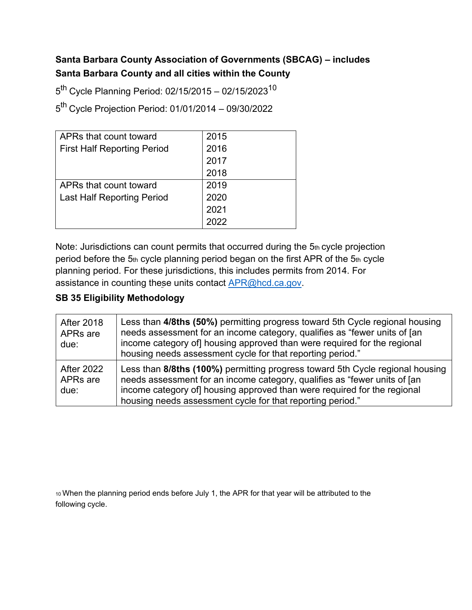### **Santa Barbara County Association of Governments (SBCAG) – includes Santa Barbara County and all cities within the County**

 $5^{th}$  Cycle Planning Period: 02/15/2015 – 02/15/2023<sup>10</sup>

5th Cycle Projection Period: 01/01/2014 – 09/30/2022

| APRs that count toward             | 2015 |
|------------------------------------|------|
| <b>First Half Reporting Period</b> | 2016 |
|                                    | 2017 |
|                                    | 2018 |
| APRs that count toward             | 2019 |
| <b>Last Half Reporting Period</b>  | 2020 |
|                                    | 2021 |
|                                    | 2022 |

Note: Jurisdictions can count permits that occurred during the 5th cycle projection period before the 5th cycle planning period began on the first APR of the 5th cycle planning period. For these jurisdictions, this includes permits from 2014. For assistance in counting these units contact [APR@hcd.ca.gov.](mailto:APR@hcd.ca.gov)

#### **SB 35 Eligibility Methodology**

| <b>After 2018</b><br>APRs are<br>due:             | Less than 4/8ths (50%) permitting progress toward 5th Cycle regional housing<br>needs assessment for an income category, qualifies as "fewer units of [an<br>income category of housing approved than were required for the regional<br>housing needs assessment cycle for that reporting period."   |
|---------------------------------------------------|------------------------------------------------------------------------------------------------------------------------------------------------------------------------------------------------------------------------------------------------------------------------------------------------------|
| <b>After 2022</b><br>APR <sub>s</sub> are<br>due: | Less than 8/8ths (100%) permitting progress toward 5th Cycle regional housing<br>needs assessment for an income category, qualifies as "fewer units of [an<br>income category of] housing approved than were required for the regional<br>housing needs assessment cycle for that reporting period." |

<span id="page-13-0"></span>10 When the planning period ends before July 1, the APR for that year will be attributed to the following cycle.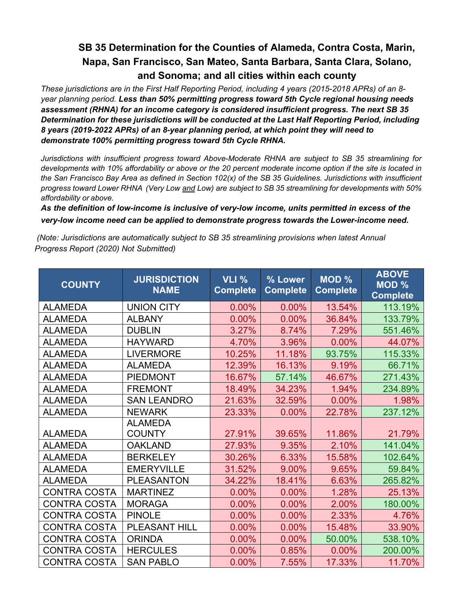*These jurisdictions are in the First Half Reporting Period, including 4 years (2015-2018 APRs) of an 8 year planning period. Less than 50% permitting progress toward 5th Cycle regional housing needs assessment (RHNA) for an income category is considered insufficient progress. The next SB 35 Determination for these jurisdictions will be conducted at the Last Half Reporting Period, including 8 years (2019-2022 APRs) of an 8-year planning period, at which point they will need to demonstrate 100% permitting progress toward 5th Cycle RHNA.*

*Jurisdictions with insufficient progress toward Above-Moderate RHNA are subject to SB 35 streamlining for developments with 10% affordability or above or the 20 percent moderate income option if the site is located in the San Francisco Bay Area as defined in Section 102(x) of the SB 35 Guidelines. Jurisdictions with insufficient* progress toward Lower RHNA (Very Low and Low) are subject to SB 35 streamlining for developments with 50% *affordability or above.*

*As the definition of low-income is inclusive of very-low income, units permitted in excess of the very-low income need can be applied to demonstrate progress towards the Lower-income need.*

| <b>COUNTY</b>       | <b>JURISDICTION</b><br><b>NAME</b> | <b>VLI %</b><br><b>Complete</b> | % Lower<br><b>Complete</b> | <b>MOD %</b><br><b>Complete</b> | <b>ABOVE</b><br><b>MOD %</b><br><b>Complete</b> |
|---------------------|------------------------------------|---------------------------------|----------------------------|---------------------------------|-------------------------------------------------|
| <b>ALAMEDA</b>      | <b>UNION CITY</b>                  | 0.00%                           | 0.00%                      | 13.54%                          | 113.19%                                         |
| <b>ALAMEDA</b>      | <b>ALBANY</b>                      | 0.00%                           | 0.00%                      | 36.84%                          | 133.79%                                         |
| <b>ALAMEDA</b>      | <b>DUBLIN</b>                      | 3.27%                           | 8.74%                      | 7.29%                           | 551.46%                                         |
| <b>ALAMEDA</b>      | <b>HAYWARD</b>                     | 4.70%                           | 3.96%                      | 0.00%                           | 44.07%                                          |
| <b>ALAMEDA</b>      | <b>LIVERMORE</b>                   | 10.25%                          | 11.18%                     | 93.75%                          | 115.33%                                         |
| <b>ALAMEDA</b>      | <b>ALAMEDA</b>                     | 12.39%                          | 16.13%                     | 9.19%                           | 66.71%                                          |
| <b>ALAMEDA</b>      | <b>PIEDMONT</b>                    | 16.67%                          | 57.14%                     | 46.67%                          | 271.43%                                         |
| <b>ALAMEDA</b>      | <b>FREMONT</b>                     | 18.49%                          | 34.23%                     | 1.94%                           | 234.89%                                         |
| <b>ALAMEDA</b>      | <b>SAN LEANDRO</b>                 | 21.63%                          | 32.59%                     | 0.00%                           | 1.98%                                           |
| <b>ALAMEDA</b>      | <b>NEWARK</b>                      | 23.33%                          | 0.00%                      | 22.78%                          | 237.12%                                         |
|                     | <b>ALAMEDA</b>                     |                                 |                            |                                 |                                                 |
| <b>ALAMEDA</b>      | <b>COUNTY</b>                      | 27.91%                          | 39.65%                     | 11.86%                          | 21.79%                                          |
| <b>ALAMEDA</b>      | <b>OAKLAND</b>                     | 27.93%                          | 9.35%                      | 2.10%                           | 141.04%                                         |
| <b>ALAMEDA</b>      | <b>BERKELEY</b>                    | 30.26%                          | 6.33%                      | 15.58%                          | 102.64%                                         |
| <b>ALAMEDA</b>      | <b>EMERYVILLE</b>                  | 31.52%                          | 9.00%                      | 9.65%                           | 59.84%                                          |
| <b>ALAMEDA</b>      | <b>PLEASANTON</b>                  | 34.22%                          | 18.41%                     | 6.63%                           | 265.82%                                         |
| <b>CONTRA COSTA</b> | <b>MARTINEZ</b>                    | $0.00\%$                        | 0.00%                      | 1.28%                           | 25.13%                                          |
| <b>CONTRA COSTA</b> | <b>MORAGA</b>                      | 0.00%                           | 0.00%                      | 2.00%                           | 180.00%                                         |
| <b>CONTRA COSTA</b> | <b>PINOLE</b>                      | 0.00%                           | 0.00%                      | 2.33%                           | 4.76%                                           |
| <b>CONTRA COSTA</b> | <b>PLEASANT HILL</b>               | 0.00%                           | 0.00%                      | 15.48%                          | 33.90%                                          |
| <b>CONTRA COSTA</b> | <b>ORINDA</b>                      | 0.00%                           | 0.00%                      | 50.00%                          | 538.10%                                         |
| <b>CONTRA COSTA</b> | <b>HERCULES</b>                    | 0.00%                           | 0.85%                      | $0.00\%$                        | 200.00%                                         |
| <b>CONTRA COSTA</b> | <b>SAN PABLO</b>                   | 0.00%                           | 7.55%                      | 17.33%                          | 11.70%                                          |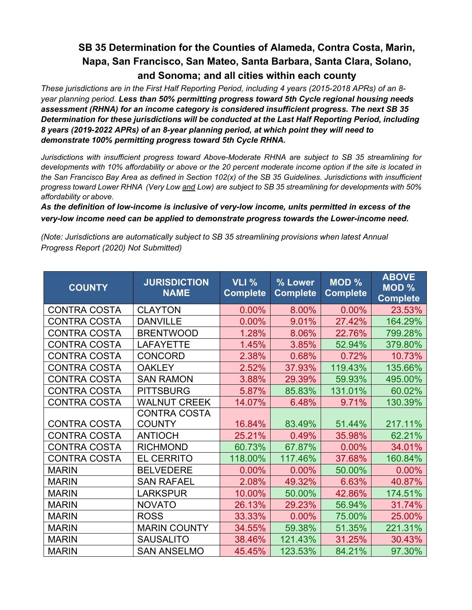*These jurisdictions are in the First Half Reporting Period, including 4 years (2015-2018 APRs) of an 8 year planning period. Less than 50% permitting progress toward 5th Cycle regional housing needs assessment (RHNA) for an income category is considered insufficient progress. The next SB 35 Determination for these jurisdictions will be conducted at the Last Half Reporting Period, including 8 years (2019-2022 APRs) of an 8-year planning period, at which point they will need to demonstrate 100% permitting progress toward 5th Cycle RHNA.*

*Jurisdictions with insufficient progress toward Above-Moderate RHNA are subject to SB 35 streamlining for developments with 10% affordability or above or the 20 percent moderate income option if the site is located in the San Francisco Bay Area as defined in Section 102(x) of the SB 35 Guidelines. Jurisdictions with insufficient* progress toward Lower RHNA (Very Low and Low) are subject to SB 35 streamlining for developments with 50% *affordability or above.*

*As the definition of low-income is inclusive of very-low income, units permitted in excess of the very-low income need can be applied to demonstrate progress towards the Lower-income need.*

| <b>COUNTY</b>       | <b>JURISDICTION</b><br><b>NAME</b>   | <b>VLI %</b><br><b>Complete</b> | % Lower<br><b>Complete</b> | $MOD$ %<br><b>Complete</b> | <b>ABOVE</b><br>MOD %<br><b>Complete</b> |
|---------------------|--------------------------------------|---------------------------------|----------------------------|----------------------------|------------------------------------------|
| <b>CONTRA COSTA</b> | <b>CLAYTON</b>                       | 0.00%                           | 8.00%                      | 0.00%                      | 23.53%                                   |
| <b>CONTRA COSTA</b> | <b>DANVILLE</b>                      | 0.00%                           | 9.01%                      | 27.42%                     | 164.29%                                  |
| <b>CONTRA COSTA</b> | <b>BRENTWOOD</b>                     | 1.28%                           | 8.06%                      | 22.76%                     | 799.28%                                  |
| <b>CONTRA COSTA</b> | <b>LAFAYETTE</b>                     | 1.45%                           | 3.85%                      | 52.94%                     | 379.80%                                  |
| <b>CONTRA COSTA</b> | <b>CONCORD</b>                       | 2.38%                           | 0.68%                      | 0.72%                      | 10.73%                                   |
| <b>CONTRA COSTA</b> | <b>OAKLEY</b>                        | 2.52%                           | 37.93%                     | 119.43%                    | 135.66%                                  |
| <b>CONTRA COSTA</b> | <b>SAN RAMON</b>                     | 3.88%                           | 29.39%                     | 59.93%                     | 495.00%                                  |
| <b>CONTRA COSTA</b> | <b>PITTSBURG</b>                     | 5.87%                           | 85.83%                     | 131.01%                    | 60.02%                                   |
| <b>CONTRA COSTA</b> | <b>WALNUT CREEK</b>                  | 14.07%                          | 6.48%                      | 9.71%                      | 130.39%                                  |
| <b>CONTRA COSTA</b> | <b>CONTRA COSTA</b><br><b>COUNTY</b> | 16.84%                          | 83.49%                     | 51.44%                     | 217.11%                                  |
| <b>CONTRA COSTA</b> | <b>ANTIOCH</b>                       | 25.21%                          | 0.49%                      | 35.98%                     | 62.21%                                   |
| <b>CONTRA COSTA</b> | <b>RICHMOND</b>                      | 60.73%                          | 67.87%                     | 0.00%                      | 34.01%                                   |
| <b>CONTRA COSTA</b> | <b>EL CERRITO</b>                    | 118.00%                         | 117.46%                    | 37.68%                     | 160.84%                                  |
| <b>MARIN</b>        | <b>BELVEDERE</b>                     | 0.00%                           | 0.00%                      | 50.00%                     | 0.00%                                    |
| <b>MARIN</b>        | <b>SAN RAFAEL</b>                    | 2.08%                           | 49.32%                     | 6.63%                      | 40.87%                                   |
| <b>MARIN</b>        | <b>LARKSPUR</b>                      | 10.00%                          | 50.00%                     | 42.86%                     | 174.51%                                  |
| <b>MARIN</b>        | <b>NOVATO</b>                        | 26.13%                          | 29.23%                     | 56.94%                     | 31.74%                                   |
| <b>MARIN</b>        | <b>ROSS</b>                          | 33.33%                          | 0.00%                      | 75.00%                     | 25.00%                                   |
| <b>MARIN</b>        | <b>MARIN COUNTY</b>                  | 34.55%                          | 59.38%                     | 51.35%                     | 221.31%                                  |
| <b>MARIN</b>        | <b>SAUSALITO</b>                     | 38.46%                          | 121.43%                    | 31.25%                     | 30.43%                                   |
| <b>MARIN</b>        | <b>SAN ANSELMO</b>                   | 45.45%                          | 123.53%                    | 84.21%                     | 97.30%                                   |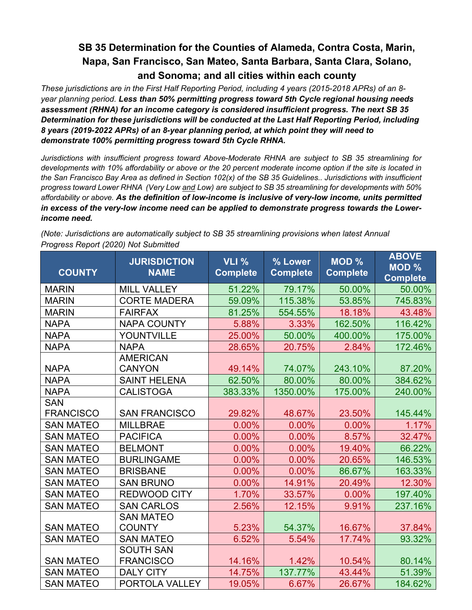*These jurisdictions are in the First Half Reporting Period, including 4 years (2015-2018 APRs) of an 8 year planning period. Less than 50% permitting progress toward 5th Cycle regional housing needs assessment (RHNA) for an income category is considered insufficient progress. The next SB 35 Determination for these jurisdictions will be conducted at the Last Half Reporting Period, including 8 years (2019-2022 APRs) of an 8-year planning period, at which point they will need to demonstrate 100% permitting progress toward 5th Cycle RHNA.*

*Jurisdictions with insufficient progress toward Above-Moderate RHNA are subject to SB 35 streamlining for developments with 10% affordability or above or the 20 percent moderate income option if the site is located in the San Francisco Bay Area as defined in Section 102(x) of the SB 35 Guidelines.. Jurisdictions with insufficient* progress toward Lower RHNA (Very Low and Low) are subject to SB 35 streamlining for developments with 50% *affordability or above. As the definition of low-income is inclusive of very-low income, units permitted in excess of the very-low income need can be applied to demonstrate progress towards the Lowerincome need.*

| <b>COUNTY</b>    | <b>JURISDICTION</b><br><b>NAME</b> | VLI %<br><b>Complete</b> | % Lower<br><b>Complete</b> | <b>MOD %</b><br><b>Complete</b> | <b>ABOVE</b><br><b>MOD %</b><br><b>Complete</b> |
|------------------|------------------------------------|--------------------------|----------------------------|---------------------------------|-------------------------------------------------|
| <b>MARIN</b>     | <b>MILL VALLEY</b>                 | 51.22%                   | 79.17%                     | 50.00%                          | 50.00%                                          |
| <b>MARIN</b>     | <b>CORTE MADERA</b>                | 59.09%                   | 115.38%                    | 53.85%                          | 745.83%                                         |
| <b>MARIN</b>     | <b>FAIRFAX</b>                     | 81.25%                   | 554.55%                    | 18.18%                          | 43.48%                                          |
| <b>NAPA</b>      | <b>NAPA COUNTY</b>                 | 5.88%                    | 3.33%                      | 162.50%                         | 116.42%                                         |
| <b>NAPA</b>      | YOUNTVILLE                         | 25.00%                   | 50.00%                     | 400.00%                         | 175.00%                                         |
| <b>NAPA</b>      | <b>NAPA</b>                        | 28.65%                   | 20.75%                     | 2.84%                           | 172.46%                                         |
|                  | <b>AMERICAN</b>                    |                          |                            |                                 |                                                 |
| <b>NAPA</b>      | <b>CANYON</b>                      | 49.14%                   | 74.07%                     | 243.10%                         | 87.20%                                          |
| <b>NAPA</b>      | <b>SAINT HELENA</b>                | 62.50%                   | 80.00%                     | 80.00%                          | 384.62%                                         |
| <b>NAPA</b>      | <b>CALISTOGA</b>                   | 383.33%                  | 1350.00%                   | 175.00%                         | 240.00%                                         |
| <b>SAN</b>       |                                    |                          |                            |                                 |                                                 |
| <b>FRANCISCO</b> | <b>SAN FRANCISCO</b>               | 29.82%                   | 48.67%                     | 23.50%                          | 145.44%                                         |
| <b>SAN MATEO</b> | <b>MILLBRAE</b>                    | 0.00%                    | 0.00%                      | 0.00%                           | 1.17%                                           |
| <b>SAN MATEO</b> | <b>PACIFICA</b>                    | 0.00%                    | 0.00%                      | 8.57%                           | 32.47%                                          |
| <b>SAN MATEO</b> | <b>BELMONT</b>                     | 0.00%                    | 0.00%                      | 19.40%                          | 66.22%                                          |
| <b>SAN MATEO</b> | <b>BURLINGAME</b>                  | 0.00%                    | 0.00%                      | 20.65%                          | 146.53%                                         |
| <b>SAN MATEO</b> | <b>BRISBANE</b>                    | 0.00%                    | 0.00%                      | 86.67%                          | 163.33%                                         |
| <b>SAN MATEO</b> | <b>SAN BRUNO</b>                   | 0.00%                    | 14.91%                     | 20.49%                          | 12.30%                                          |
| <b>SAN MATEO</b> | <b>REDWOOD CITY</b>                | 1.70%                    | 33.57%                     | 0.00%                           | 197.40%                                         |
| <b>SAN MATEO</b> | <b>SAN CARLOS</b>                  | 2.56%                    | 12.15%                     | 9.91%                           | 237.16%                                         |
|                  | <b>SAN MATEO</b>                   |                          |                            |                                 |                                                 |
| <b>SAN MATEO</b> | <b>COUNTY</b>                      | 5.23%                    | 54.37%                     | 16.67%                          | 37.84%                                          |
| <b>SAN MATEO</b> | <b>SAN MATEO</b>                   | 6.52%                    | 5.54%                      | 17.74%                          | 93.32%                                          |
|                  | <b>SOUTH SAN</b>                   |                          |                            |                                 |                                                 |
| <b>SAN MATEO</b> | <b>FRANCISCO</b>                   | 14.16%                   | 1.42%                      | 10.54%                          | 80.14%                                          |
| <b>SAN MATEO</b> | <b>DALY CITY</b>                   | 14.75%                   | 137.77%                    | 43.44%                          | 51.39%                                          |
| <b>SAN MATEO</b> | PORTOLA VALLEY                     | 19.05%                   | 6.67%                      | 26.67%                          | 184.62%                                         |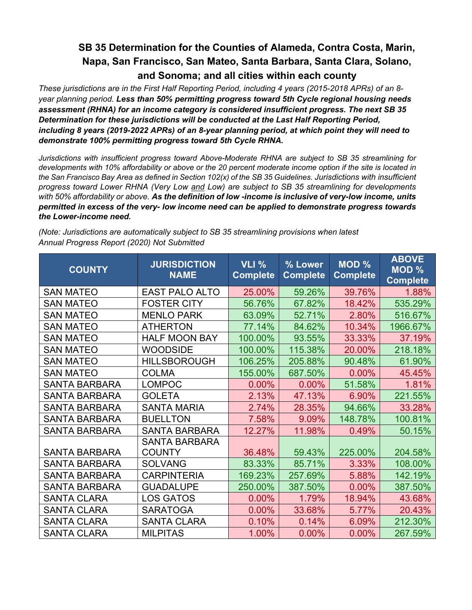*These jurisdictions are in the First Half Reporting Period, including 4 years (2015-2018 APRs) of an 8 year planning period. Less than 50% permitting progress toward 5th Cycle regional housing needs assessment (RHNA) for an income category is considered insufficient progress. The next SB 35 Determination for these jurisdictions will be conducted at the Last Half Reporting Period, including 8 years (2019-2022 APRs) of an 8-year planning period, at which point they will need to demonstrate 100% permitting progress toward 5th Cycle RHNA.*

*Jurisdictions with insufficient progress toward Above-Moderate RHNA are subject to SB 35 streamlining for developments with 10% affordability or above or the 20 percent moderate income option if the site is located in* the San Francisco Bay Area as defined in Section 102(x) of the SB 35 Guidelines. Jurisdictions with insufficient *progress toward Lower RHNA (Very Low and Low) are subject to SB 35 streamlining for developments with 50% affordability or above. As the definition of low -income is inclusive of very-low income, units permitted in excess of the very- low income need can be applied to demonstrate progress towards the Lower-income need.*

| <b>JURISDICTION</b><br><b>COUNTY</b><br><b>NAME</b> |                       | VLI %<br><b>Complete</b> | % Lower<br><b>Complete</b> | <b>MOD %</b><br><b>Complete</b> | <b>ABOVE</b><br><b>MOD %</b><br><b>Complete</b> |
|-----------------------------------------------------|-----------------------|--------------------------|----------------------------|---------------------------------|-------------------------------------------------|
| <b>SAN MATEO</b>                                    | <b>EAST PALO ALTO</b> | 25.00%                   | 59.26%                     | 39.76%                          | 1.88%                                           |
| <b>SAN MATEO</b>                                    | <b>FOSTER CITY</b>    | 56.76%                   | 67.82%                     | 18.42%                          | 535.29%                                         |
| <b>SAN MATEO</b>                                    | <b>MENLO PARK</b>     | 63.09%                   | 52.71%                     | 2.80%                           | 516.67%                                         |
| <b>SAN MATEO</b>                                    | <b>ATHERTON</b>       | 77.14%                   | 84.62%                     | 10.34%                          | 1966.67%                                        |
| <b>SAN MATEO</b>                                    | <b>HALF MOON BAY</b>  | 100.00%                  | 93.55%                     | 33.33%                          | 37.19%                                          |
| <b>SAN MATEO</b>                                    | <b>WOODSIDE</b>       | 100.00%                  | 115.38%                    | 20.00%                          | 218.18%                                         |
| <b>SAN MATEO</b>                                    | <b>HILLSBOROUGH</b>   | 106.25%                  | 205.88%                    | 90.48%                          | 61.90%                                          |
| <b>SAN MATEO</b>                                    | <b>COLMA</b>          | 155.00%                  | 687.50%                    | 0.00%                           | 45.45%                                          |
| <b>SANTA BARBARA</b>                                | <b>LOMPOC</b>         | 0.00%                    | 0.00%                      | 51.58%                          | 1.81%                                           |
| <b>SANTA BARBARA</b>                                | <b>GOLETA</b>         | 2.13%                    | 47.13%                     | 6.90%                           | 221.55%                                         |
| <b>SANTA BARBARA</b>                                | <b>SANTA MARIA</b>    | 2.74%                    | 28.35%                     | 94.66%                          | 33.28%                                          |
| <b>SANTA BARBARA</b>                                | <b>BUELLTON</b>       | 7.58%                    | 9.09%                      | 148.78%                         | 100.81%                                         |
| <b>SANTA BARBARA</b>                                | <b>SANTA BARBARA</b>  | 12.27%                   | 11.98%                     | 0.49%                           | 50.15%                                          |
|                                                     | <b>SANTA BARBARA</b>  |                          |                            |                                 |                                                 |
| <b>SANTA BARBARA</b>                                | <b>COUNTY</b>         | 36.48%                   | 59.43%                     | 225.00%                         | 204.58%                                         |
| <b>SANTA BARBARA</b>                                | <b>SOLVANG</b>        | 83.33%                   | 85.71%                     | 3.33%                           | 108.00%                                         |
| <b>SANTA BARBARA</b>                                | <b>CARPINTERIA</b>    | 169.23%                  | 257.69%                    | 5.88%                           | 142.19%                                         |
| <b>SANTA BARBARA</b>                                | <b>GUADALUPE</b>      | 250.00%                  | 387.50%                    | 0.00%                           | 387.50%                                         |
| <b>SANTA CLARA</b>                                  | <b>LOS GATOS</b>      | $0.00\%$                 | 1.79%                      | 18.94%                          | 43.68%                                          |
| <b>SANTA CLARA</b>                                  | <b>SARATOGA</b>       | 0.00%                    | 33.68%                     | 5.77%                           | 20.43%                                          |
| <b>SANTA CLARA</b>                                  | <b>SANTA CLARA</b>    | 0.10%                    | 0.14%                      | 6.09%                           | 212.30%                                         |
| <b>SANTA CLARA</b>                                  | <b>MILPITAS</b>       | 1.00%                    | 0.00%                      | 0.00%                           | 267.59%                                         |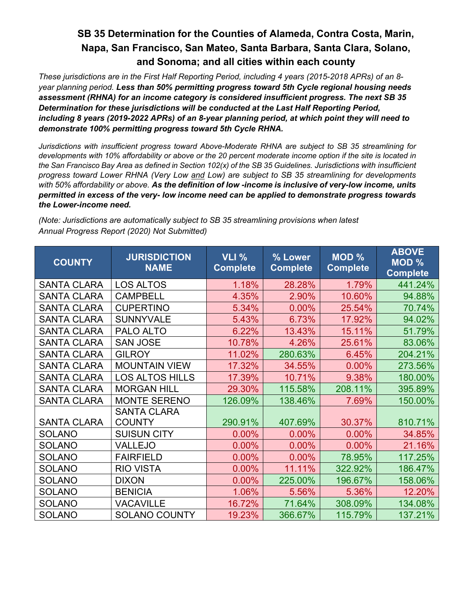*These jurisdictions are in the First Half Reporting Period, including 4 years (2015-2018 APRs) of an 8 year planning period. Less than 50% permitting progress toward 5th Cycle regional housing needs assessment (RHNA) for an income category is considered insufficient progress. The next SB 35 Determination for these jurisdictions will be conducted at the Last Half Reporting Period, including 8 years (2019-2022 APRs) of an 8-year planning period, at which point they will need to demonstrate 100% permitting progress toward 5th Cycle RHNA.*

*Jurisdictions with insufficient progress toward Above-Moderate RHNA are subject to SB 35 streamlining for developments with 10% affordability or above or the 20 percent moderate income option if the site is located in the San Francisco Bay Area as defined in Section 102(x) of the SB 35 Guidelines. Jurisdictions with insufficient progress toward Lower RHNA (Very Low and Low) are subject to SB 35 streamlining for developments with 50% affordability or above. As the definition of low -income is inclusive of very-low income, units permitted in excess of the very- low income need can be applied to demonstrate progress towards the Lower-income need.*

| <b>COUNTY</b>      | <b>JURISDICTION</b><br><b>NAME</b>  | <b>VLI %</b><br><b>Complete</b> | % Lower<br><b>Complete</b> | MOD %<br><b>Complete</b> | <b>ABOVE</b><br>MOD %<br><b>Complete</b> |
|--------------------|-------------------------------------|---------------------------------|----------------------------|--------------------------|------------------------------------------|
| <b>SANTA CLARA</b> | <b>LOS ALTOS</b>                    | 1.18%                           | 28.28%                     | 1.79%                    | 441.24%                                  |
| <b>SANTA CLARA</b> | <b>CAMPBELL</b>                     | 4.35%                           | 2.90%                      | 10.60%                   | 94.88%                                   |
| <b>SANTA CLARA</b> | <b>CUPERTINO</b>                    | 5.34%                           | 0.00%                      | 25.54%                   | 70.74%                                   |
| <b>SANTA CLARA</b> | <b>SUNNYVALE</b>                    | 5.43%                           | 6.73%                      | 17.92%                   | 94.02%                                   |
| <b>SANTA CLARA</b> | PALO ALTO                           | 6.22%                           | 13.43%                     | 15.11%                   | 51.79%                                   |
| <b>SANTA CLARA</b> | <b>SAN JOSE</b>                     | 10.78%                          | 4.26%                      | 25.61%                   | 83.06%                                   |
| <b>SANTA CLARA</b> | <b>GILROY</b>                       | 11.02%                          | 280.63%                    | 6.45%                    | 204.21%                                  |
| <b>SANTA CLARA</b> | <b>MOUNTAIN VIEW</b>                | 17.32%                          | 34.55%                     | 0.00%                    | 273.56%                                  |
| <b>SANTA CLARA</b> | <b>LOS ALTOS HILLS</b>              | 17.39%                          | 10.71%                     | 9.38%                    | 180.00%                                  |
| <b>SANTA CLARA</b> | <b>MORGAN HILL</b>                  | 29.30%                          | 115.58%                    | 208.11%                  | 395.89%                                  |
| <b>SANTA CLARA</b> | <b>MONTE SERENO</b>                 | 126.09%                         | 138.46%                    | 7.69%                    | 150.00%                                  |
| <b>SANTA CLARA</b> | <b>SANTA CLARA</b><br><b>COUNTY</b> | 290.91%                         | 407.69%                    | 30.37%                   | 810.71%                                  |
| <b>SOLANO</b>      | <b>SUISUN CITY</b>                  | 0.00%                           | 0.00%                      | 0.00%                    | 34.85%                                   |
| <b>SOLANO</b>      | <b>VALLEJO</b>                      | 0.00%                           | 0.00%                      | 0.00%                    | 21.16%                                   |
| <b>SOLANO</b>      | <b>FAIRFIELD</b>                    | 0.00%                           | 0.00%                      | 78.95%                   | 117.25%                                  |
| <b>SOLANO</b>      | <b>RIO VISTA</b>                    | 0.00%                           | 11.11%                     | 322.92%                  | 186.47%                                  |
| <b>SOLANO</b>      | <b>DIXON</b>                        | 0.00%                           | 225.00%                    | 196.67%                  | 158.06%                                  |
| <b>SOLANO</b>      | <b>BENICIA</b>                      | 1.06%                           | 5.56%                      | 5.36%                    | 12.20%                                   |
| <b>SOLANO</b>      | <b>VACAVILLE</b>                    | 16.72%                          | 71.64%                     | 308.09%                  | 134.08%                                  |
| <b>SOLANO</b>      | <b>SOLANO COUNTY</b>                | 19.23%                          | 366.67%                    | 115.79%                  | 137.21%                                  |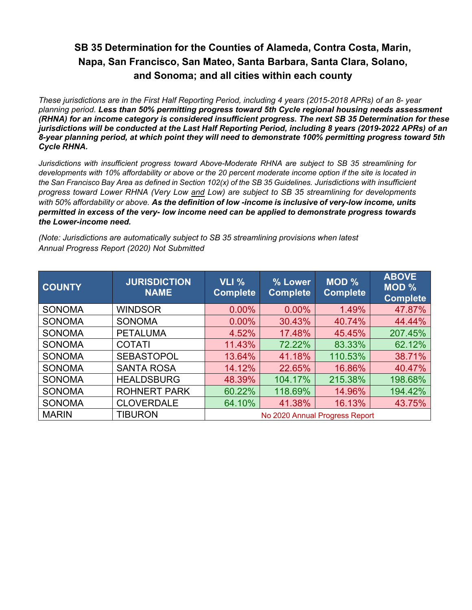*These jurisdictions are in the First Half Reporting Period, including 4 years (2015-2018 APRs) of an 8- year planning period. Less than 50% permitting progress toward 5th Cycle regional housing needs assessment (RHNA) for an income category is considered insufficient progress. The next SB 35 Determination for these jurisdictions will be conducted at the Last Half Reporting Period, including 8 years (2019-2022 APRs) of an 8-year planning period, at which point they will need to demonstrate 100% permitting progress toward 5th Cycle RHNA.*

*Jurisdictions with insufficient progress toward Above-Moderate RHNA are subject to SB 35 streamlining for developments with 10% affordability or above or the 20 percent moderate income option if the site is located in* the San Francisco Bay Area as defined in Section 102(x) of the SB 35 Guidelines. Jurisdictions with insufficient *progress toward Lower RHNA (Very Low and Low) are subject to SB 35 streamlining for developments with 50% affordability or above. As the definition of low -income is inclusive of very-low income, units permitted in excess of the very- low income need can be applied to demonstrate progress towards the Lower-income need.*

| <b>COUNTY</b> | <b>JURISDICTION</b><br><b>NAME</b> | VLI%<br><b>Complete</b>        | % Lower<br><b>Complete</b> | MOD%<br><b>Complete</b> | <b>ABOVE</b><br><b>MOD %</b><br><b>Complete</b> |
|---------------|------------------------------------|--------------------------------|----------------------------|-------------------------|-------------------------------------------------|
| <b>SONOMA</b> | <b>WINDSOR</b>                     | $0.00\%$                       | 0.00%                      | 1.49%                   | 47.87%                                          |
| <b>SONOMA</b> | <b>SONOMA</b>                      | $0.00\%$                       | 30.43%                     | 40.74%                  | 44.44%                                          |
| <b>SONOMA</b> | <b>PETALUMA</b>                    | 4.52%                          | 17.48%                     | 45.45%                  | 207.45%                                         |
| <b>SONOMA</b> | <b>COTATI</b>                      | 11.43%                         | 72.22%                     | 83.33%                  | 62.12%                                          |
| <b>SONOMA</b> | <b>SEBASTOPOL</b>                  | 13.64%                         | 41.18%                     | 110.53%                 | 38.71%                                          |
| <b>SONOMA</b> | <b>SANTA ROSA</b>                  | 14.12%                         | 22.65%                     | 16.86%                  | 40.47%                                          |
| <b>SONOMA</b> | <b>HEALDSBURG</b>                  | 48.39%                         | 104.17%                    | 215.38%                 | 198.68%                                         |
| <b>SONOMA</b> | <b>ROHNERT PARK</b>                | 60.22%                         | 118.69%                    | 14.96%                  | 194.42%                                         |
| <b>SONOMA</b> | <b>CLOVERDALE</b>                  | 64.10%                         | 41.38%                     | 16.13%                  | 43.75%                                          |
| <b>MARIN</b>  | <b>TIBURON</b>                     | No 2020 Annual Progress Report |                            |                         |                                                 |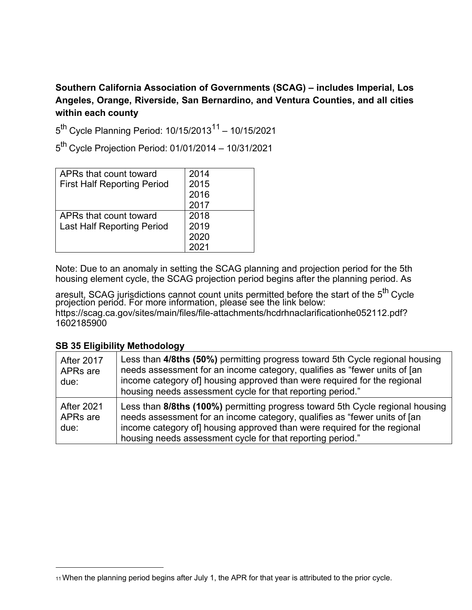### **Southern California Association of Governments (SCAG) – includes Imperial, Los Angeles, Orange, Riverside, San Bernardino, and Ventura Counties, and all cities within each county**

 $5^{th}$  Cycle Planning Period: 10/15/2013<sup>11</sup> - 10/15/2021

5th Cycle Projection Period: 01/01/2014 – 10/31/2021

| APRs that count toward             | 2014 |
|------------------------------------|------|
| <b>First Half Reporting Period</b> | 2015 |
|                                    | 2016 |
|                                    | 2017 |
| APRs that count toward             | 2018 |
| <b>Last Half Reporting Period</b>  | 2019 |
|                                    | 2020 |
|                                    | 2021 |

Note: Due to an anomaly in setting the SCAG planning and projection period for the 5th housing element cycle, the SCAG projection period begins after the planning period. As

aresult, SCAG juri<u>s</u>dictions cannot count units permitted before the start of the  $5^{\sf th}$  Cycle projection period. For more information, please see the link below: [https://scag.ca.gov/sites/main/files/file-attachments/hcdrhnaclarificationhe052112.pdf?](https://scag.ca.gov/sites/main/files/file-attachments/hcdrhnaclarificationhe052112.pdf?1602185900) 1602185900

| <b>After 2017</b><br>APRs are<br>due: | Less than 4/8ths (50%) permitting progress toward 5th Cycle regional housing<br>needs assessment for an income category, qualifies as "fewer units of [an<br>income category of housing approved than were required for the regional<br>housing needs assessment cycle for that reporting period."  |
|---------------------------------------|-----------------------------------------------------------------------------------------------------------------------------------------------------------------------------------------------------------------------------------------------------------------------------------------------------|
| <b>After 2021</b><br>APRs are<br>due: | Less than 8/8ths (100%) permitting progress toward 5th Cycle regional housing<br>needs assessment for an income category, qualifies as "fewer units of [an<br>income category of housing approved than were required for the regional<br>housing needs assessment cycle for that reporting period." |

<span id="page-20-0"></span><sup>11</sup>When the planning period begins after July 1, the APR for that year is attributed to the prior cycle.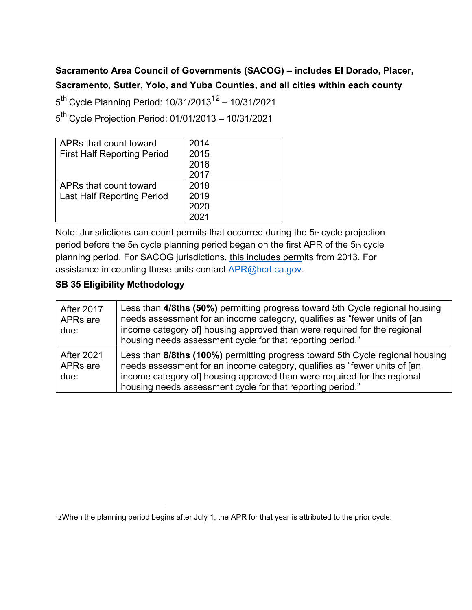### **Sacramento Area Council of Governments (SACOG) – includes El Dorado, Placer, Sacramento, Sutter, Yolo, and Yuba Counties, and all cities within each county**

 $5^{th}$  Cycle Planning Period: 10/31/2013<sup>12</sup> – 10/31/2021

5th Cycle Projection Period: 01/01/2013 – 10/31/2021

| APRs that count toward             | 2014 |
|------------------------------------|------|
| <b>First Half Reporting Period</b> | 2015 |
|                                    | 2016 |
|                                    | 2017 |
| APRs that count toward             | 2018 |
| <b>Last Half Reporting Period</b>  | 2019 |
|                                    | 2020 |
|                                    |      |

Note: Jurisdictions can count permits that occurred during the 5th cycle projection period before the 5th cycle planning period began on the first APR of the 5th cycle planning period. For SACOG jurisdictions, this includes permits from 2013. For assistance in counting these units contact [APR@hcd.ca.gov.](mailto:APR@hcd.ca.gov)

| <b>After 2017</b><br>APRs are<br>due:             | Less than 4/8ths (50%) permitting progress toward 5th Cycle regional housing<br>needs assessment for an income category, qualifies as "fewer units of [an<br>income category of housing approved than were required for the regional<br>housing needs assessment cycle for that reporting period."   |
|---------------------------------------------------|------------------------------------------------------------------------------------------------------------------------------------------------------------------------------------------------------------------------------------------------------------------------------------------------------|
| <b>After 2021</b><br>APR <sub>s</sub> are<br>due: | Less than 8/8ths (100%) permitting progress toward 5th Cycle regional housing<br>needs assessment for an income category, qualifies as "fewer units of [an<br>income category of] housing approved than were required for the regional<br>housing needs assessment cycle for that reporting period." |

<span id="page-21-0"></span><sup>12</sup>When the planning period begins after July 1, the APR for that year is attributed to the prior cycle.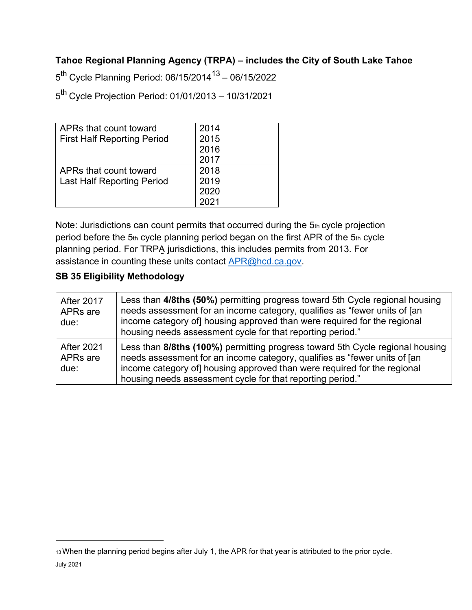#### **Tahoe Regional Planning Agency (TRPA) – includes the City of South Lake Tahoe**

 $5^{th}$  Cycle Planning Period: 06/15/2014<sup>13</sup> – 06/15/2022

5th Cycle Projection Period: 01/01/2013 – 10/31/2021

| APRs that count toward             | 2014 |
|------------------------------------|------|
| <b>First Half Reporting Period</b> | 2015 |
|                                    | 2016 |
|                                    | 2017 |
| APRs that count toward             | 2018 |
| <b>Last Half Reporting Period</b>  | 2019 |
|                                    | 2020 |
|                                    |      |

Note: Jurisdictions can count permits that occurred during the 5th cycle projection period before the 5th cycle planning period began on the first APR of the 5th cycle planning period. For TRPA jurisdictions, this includes permits from 2013. For assistance in counting these units contact **APR@hcd.ca.gov.** 

| <b>After 2017</b><br>APR <sub>s</sub> are<br>due: | Less than 4/8ths (50%) permitting progress toward 5th Cycle regional housing<br>needs assessment for an income category, qualifies as "fewer units of [an<br>income category of housing approved than were required for the regional<br>housing needs assessment cycle for that reporting period."   |
|---------------------------------------------------|------------------------------------------------------------------------------------------------------------------------------------------------------------------------------------------------------------------------------------------------------------------------------------------------------|
| <b>After 2021</b><br>APRs are<br>due:             | Less than 8/8ths (100%) permitting progress toward 5th Cycle regional housing<br>needs assessment for an income category, qualifies as "fewer units of [an<br>income category of] housing approved than were required for the regional<br>housing needs assessment cycle for that reporting period." |

<sup>13</sup>When the planning period begins after July 1, the APR for that year is attributed to the prior cycle.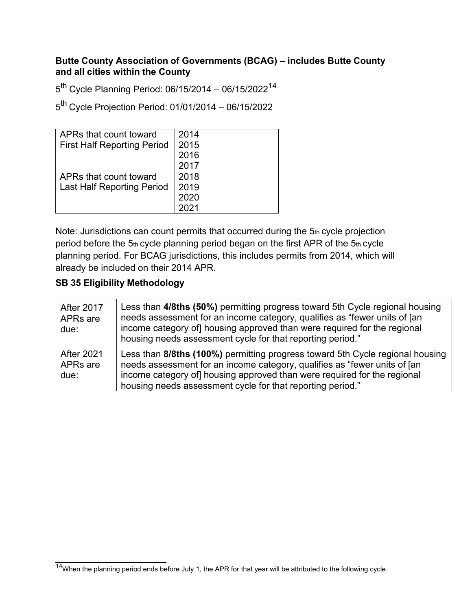#### **Butte County Association of Governments (BCAG) – includes Butte County and all cities within the County**

 $5<sup>th</sup>$  Cycle Planning Period: 06/15/2014 – 06/15/2022<sup>14</sup>

5th Cycle Projection Period: 01/01/2014 – 06/15/2022

| APRs that count toward             | 2014 |
|------------------------------------|------|
| <b>First Half Reporting Period</b> | 2015 |
|                                    | 2016 |
|                                    | 2017 |
| APRs that count toward             | 2018 |
| <b>Last Half Reporting Period</b>  | 2019 |
|                                    | 2020 |
|                                    | 2021 |

Note: Jurisdictions can count permits that occurred during the 5th cycle projection period before the 5th cycle planning period began on the first APR of the 5th cycle planning period. For BCAG jurisdictions, this includes permits from 2014, which will already be included on their 2014 APR.

| <b>After 2017</b><br>APRs are<br>due:             | Less than 4/8ths (50%) permitting progress toward 5th Cycle regional housing<br>needs assessment for an income category, qualifies as "fewer units of [an<br>income category of] housing approved than were required for the regional<br>housing needs assessment cycle for that reporting period." |
|---------------------------------------------------|-----------------------------------------------------------------------------------------------------------------------------------------------------------------------------------------------------------------------------------------------------------------------------------------------------|
| <b>After 2021</b><br>APR <sub>s</sub> are<br>due: | Less than 8/8ths (100%) permitting progress toward 5th Cycle regional housing<br>needs assessment for an income category, qualifies as "fewer units of [an<br>income category of housing approved than were required for the regional<br>housing needs assessment cycle for that reporting period." |

<span id="page-23-0"></span> $14$ When the planning period ends before July 1, the APR for that year will be attributed to the following cycle.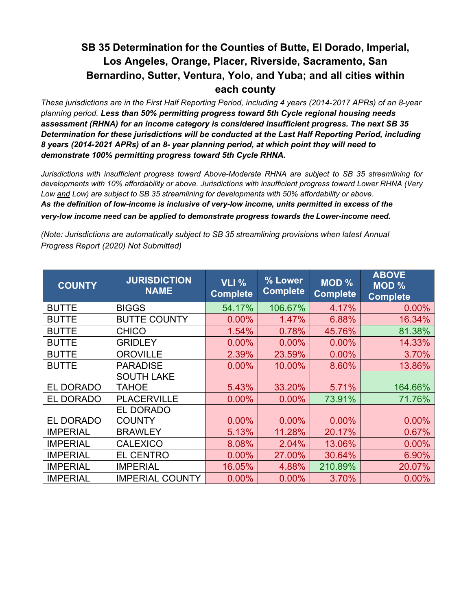*These jurisdictions are in the First Half Reporting Period, including 4 years (2014-2017 APRs) of an 8-year planning period. Less than 50% permitting progress toward 5th Cycle regional housing needs assessment (RHNA) for an income category is considered insufficient progress. The next SB 35 Determination for these jurisdictions will be conducted at the Last Half Reporting Period, including 8 years (2014-2021 APRs) of an 8- year planning period, at which point they will need to demonstrate 100% permitting progress toward 5th Cycle RHNA.*

*Jurisdictions with insufficient progress toward Above-Moderate RHNA are subject to SB 35 streamlining for developments with 10% affordability or above. Jurisdictions with insufficient progress toward Lower RHNA (Very Low and Low) are subject to SB 35 streamlining for developments with 50% affordability or above. As the definition of low-income is inclusive of very-low income, units permitted in excess of the very-low income need can be applied to demonstrate progress towards the Lower-income need.* 

| <b>COUNTY</b>    | <b>JURISDICTION</b><br><b>NAME</b> | <b>VLI %</b><br><b>Complete</b> | % Lower<br><b>Complete</b> | MOD %<br><b>Complete</b> | <b>ABOVE</b><br>MOD %<br><b>Complete</b> |
|------------------|------------------------------------|---------------------------------|----------------------------|--------------------------|------------------------------------------|
| <b>BUTTE</b>     | <b>BIGGS</b>                       | 54.17%                          | 106.67%                    | 4.17%                    | $0.00\%$                                 |
| <b>BUTTE</b>     | <b>BUTTE COUNTY</b>                | 0.00%                           | 1.47%                      | 6.88%                    | 16.34%                                   |
| <b>BUTTE</b>     | <b>CHICO</b>                       | 1.54%                           | 0.78%                      | 45.76%                   | 81.38%                                   |
| <b>BUTTE</b>     | <b>GRIDLEY</b>                     | 0.00%                           | 0.00%                      | 0.00%                    | 14.33%                                   |
| <b>BUTTE</b>     | <b>OROVILLE</b>                    | 2.39%                           | 23.59%                     | 0.00%                    | 3.70%                                    |
| <b>BUTTE</b>     | <b>PARADISE</b>                    | 0.00%                           | 10.00%                     | 8.60%                    | 13.86%                                   |
|                  | <b>SOUTH LAKE</b>                  |                                 |                            |                          |                                          |
| <b>EL DORADO</b> | <b>TAHOE</b>                       | 5.43%                           | 33.20%                     | 5.71%                    | 164.66%                                  |
| <b>EL DORADO</b> | <b>PLACERVILLE</b>                 | 0.00%                           | $0.00\%$                   | 73.91%                   | 71.76%                                   |
|                  | EL DORADO                          |                                 |                            |                          |                                          |
| <b>EL DORADO</b> | <b>COUNTY</b>                      | 0.00%                           | 0.00%                      | 0.00%                    | 0.00%                                    |
| <b>IMPERIAL</b>  | <b>BRAWLEY</b>                     | 5.13%                           | 11.28%                     | 20.17%                   | 0.67%                                    |
| <b>IMPERIAL</b>  | <b>CALEXICO</b>                    | 8.08%                           | 2.04%                      | 13.06%                   | 0.00%                                    |
| <b>IMPERIAL</b>  | <b>EL CENTRO</b>                   | 0.00%                           | 27.00%                     | 30.64%                   | 6.90%                                    |
| <b>IMPERIAL</b>  | <b>IMPERIAL</b>                    | 16.05%                          | 4.88%                      | 210.89%                  | 20.07%                                   |
| <b>IMPERIAL</b>  | <b>IMPERIAL COUNTY</b>             | 0.00%                           | 0.00%                      | 3.70%                    | 0.00%                                    |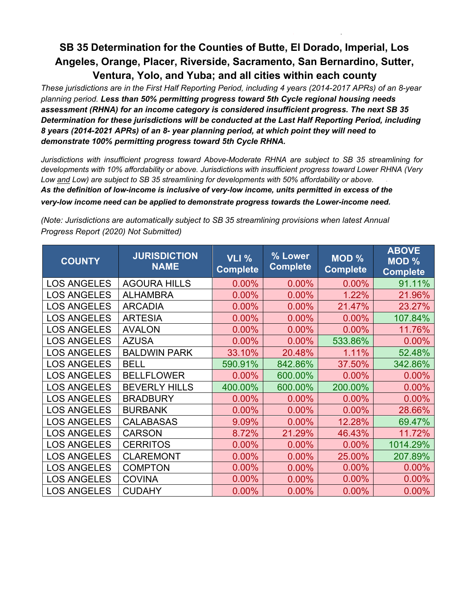*These jurisdictions are in the First Half Reporting Period, including 4 years (2014-2017 APRs) of an 8-year planning period. Less than 50% permitting progress toward 5th Cycle regional housing needs assessment (RHNA) for an income category is considered insufficient progress. The next SB 35 Determination for these jurisdictions will be conducted at the Last Half Reporting Period, including 8 years (2014-2021 APRs) of an 8- year planning period, at which point they will need to demonstrate 100% permitting progress toward 5th Cycle RHNA.*

*Jurisdictions with insufficient progress toward Above-Moderate RHNA are subject to SB 35 streamlining for developments with 10% affordability or above. Jurisdictions with insufficient progress toward Lower RHNA (Very Low and Low) are subject to SB 35 streamlining for developments with 50% affordability or above. As the definition of low-income is inclusive of very-low income, units permitted in excess of the very-low income need can be applied to demonstrate progress towards the Lower-income need.* 

| <b>COUNTY</b>      | <b>JURISDICTION</b><br><b>NAME</b> | <b>VLI %</b><br><b>Complete</b> | % Lower<br><b>Complete</b> | $MOD \%$<br><b>Complete</b> | <b>ABOVE</b><br>MOD %<br><b>Complete</b> |
|--------------------|------------------------------------|---------------------------------|----------------------------|-----------------------------|------------------------------------------|
| <b>LOS ANGELES</b> | <b>AGOURA HILLS</b>                | 0.00%                           | 0.00%                      | 0.00%                       | 91.11%                                   |
| <b>LOS ANGELES</b> | <b>ALHAMBRA</b>                    | 0.00%                           | 0.00%                      | 1.22%                       | 21.96%                                   |
| <b>LOS ANGELES</b> | <b>ARCADIA</b>                     | 0.00%                           | 0.00%                      | 21.47%                      | 23.27%                                   |
| <b>LOS ANGELES</b> | <b>ARTESIA</b>                     | 0.00%                           | 0.00%                      | 0.00%                       | 107.84%                                  |
| <b>LOS ANGELES</b> | <b>AVALON</b>                      | 0.00%                           | 0.00%                      | 0.00%                       | 11.76%                                   |
| <b>LOS ANGELES</b> | <b>AZUSA</b>                       | $0.00\%$                        | 0.00%                      | 533.86%                     | 0.00%                                    |
| <b>LOS ANGELES</b> | <b>BALDWIN PARK</b>                | 33.10%                          | 20.48%                     | 1.11%                       | 52.48%                                   |
| <b>LOS ANGELES</b> | <b>BELL</b>                        | 590.91%                         | 842.86%                    | 37.50%                      | 342.86%                                  |
| <b>LOS ANGELES</b> | <b>BELLFLOWER</b>                  | 0.00%                           | 600.00%                    | 0.00%                       | 0.00%                                    |
| <b>LOS ANGELES</b> | <b>BEVERLY HILLS</b>               | 400.00%                         | 600.00%                    | 200.00%                     | 0.00%                                    |
| <b>LOS ANGELES</b> | <b>BRADBURY</b>                    | 0.00%                           | 0.00%                      | 0.00%                       | 0.00%                                    |
| <b>LOS ANGELES</b> | <b>BURBANK</b>                     | 0.00%                           | 0.00%                      | 0.00%                       | 28.66%                                   |
| <b>LOS ANGELES</b> | <b>CALABASAS</b>                   | 9.09%                           | 0.00%                      | 12.28%                      | 69.47%                                   |
| <b>LOS ANGELES</b> | <b>CARSON</b>                      | 8.72%                           | 21.29%                     | 46.43%                      | 11.72%                                   |
| <b>LOS ANGELES</b> | <b>CERRITOS</b>                    | 0.00%                           | 0.00%                      | 0.00%                       | 1014.29%                                 |
| <b>LOS ANGELES</b> | <b>CLAREMONT</b>                   | 0.00%                           | 0.00%                      | 25.00%                      | 207.89%                                  |
| <b>LOS ANGELES</b> | <b>COMPTON</b>                     | 0.00%                           | 0.00%                      | 0.00%                       | 0.00%                                    |
| <b>LOS ANGELES</b> | <b>COVINA</b>                      | 0.00%                           | 0.00%                      | 0.00%                       | 0.00%                                    |
| <b>LOS ANGELES</b> | <b>CUDAHY</b>                      | 0.00%                           | 0.00%                      | 0.00%                       | 0.00%                                    |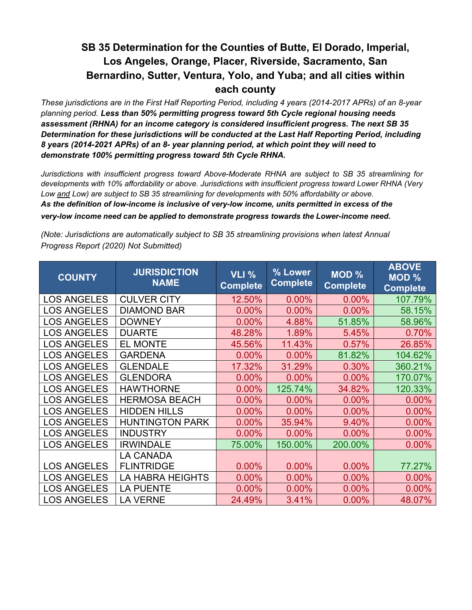*These jurisdictions are in the First Half Reporting Period, including 4 years (2014-2017 APRs) of an 8-year planning period. Less than 50% permitting progress toward 5th Cycle regional housing needs assessment (RHNA) for an income category is considered insufficient progress. The next SB 35 Determination for these jurisdictions will be conducted at the Last Half Reporting Period, including 8 years (2014-2021 APRs) of an 8- year planning period, at which point they will need to demonstrate 100% permitting progress toward 5th Cycle RHNA.*

*Jurisdictions with insufficient progress toward Above-Moderate RHNA are subject to SB 35 streamlining for developments with 10% affordability or above. Jurisdictions with insufficient progress toward Lower RHNA (Very Low and Low) are subject to SB 35 streamlining for developments with 50% affordability or above. As the definition of low-income is inclusive of very-low income, units permitted in excess of the very-low income need can be applied to demonstrate progress towards the Lower-income need.* 

| <b>COUNTY</b>      | <b>JURISDICTION</b><br><b>NAME</b> | <b>VLI %</b><br><b>Complete</b> | % Lower<br><b>Complete</b> | <b>MOD %</b><br><b>Complete</b> | <b>ABOVE</b><br><b>MOD %</b><br><b>Complete</b> |
|--------------------|------------------------------------|---------------------------------|----------------------------|---------------------------------|-------------------------------------------------|
| <b>LOS ANGELES</b> | <b>CULVER CITY</b>                 | 12.50%                          | 0.00%                      | 0.00%                           | 107.79%                                         |
| <b>LOS ANGELES</b> | <b>DIAMOND BAR</b>                 | 0.00%                           | 0.00%                      | 0.00%                           | 58.15%                                          |
| <b>LOS ANGELES</b> | <b>DOWNEY</b>                      | 0.00%                           | 4.88%                      | 51.85%                          | 58.96%                                          |
| <b>LOS ANGELES</b> | <b>DUARTE</b>                      | 48.28%                          | 1.89%                      | 5.45%                           | 0.70%                                           |
| <b>LOS ANGELES</b> | <b>EL MONTE</b>                    | 45.56%                          | 11.43%                     | 0.57%                           | 26.85%                                          |
| <b>LOS ANGELES</b> | <b>GARDENA</b>                     | 0.00%                           | 0.00%                      | 81.82%                          | 104.62%                                         |
| <b>LOS ANGELES</b> | <b>GLENDALE</b>                    | 17.32%                          | 31.29%                     | 0.30%                           | 360.21%                                         |
| <b>LOS ANGELES</b> | <b>GLENDORA</b>                    | 0.00%                           | 0.00%                      | 0.00%                           | 170.07%                                         |
| <b>LOS ANGELES</b> | <b>HAWTHORNE</b>                   | 0.00%                           | 125.74%                    | 34.82%                          | 120.33%                                         |
| <b>LOS ANGELES</b> | <b>HERMOSA BEACH</b>               | 0.00%                           | 0.00%                      | 0.00%                           | 0.00%                                           |
| <b>LOS ANGELES</b> | <b>HIDDEN HILLS</b>                | 0.00%                           | 0.00%                      | 0.00%                           | 0.00%                                           |
| <b>LOS ANGELES</b> | <b>HUNTINGTON PARK</b>             | 0.00%                           | 35.94%                     | 9.40%                           | 0.00%                                           |
| <b>LOS ANGELES</b> | <b>INDUSTRY</b>                    | 0.00%                           | 0.00%                      | 0.00%                           | 0.00%                                           |
| <b>LOS ANGELES</b> | <b>IRWINDALE</b>                   | 75.00%                          | 150.00%                    | 200.00%                         | 0.00%                                           |
|                    | <b>LA CANADA</b>                   |                                 |                            |                                 |                                                 |
| <b>LOS ANGELES</b> | <b>FLINTRIDGE</b>                  | 0.00%                           | 0.00%                      | 0.00%                           | 77.27%                                          |
| <b>LOS ANGELES</b> | <b>LA HABRA HEIGHTS</b>            | 0.00%                           | 0.00%                      | 0.00%                           | 0.00%                                           |
| <b>LOS ANGELES</b> | <b>LA PUENTE</b>                   | 0.00%                           | 0.00%                      | 0.00%                           | 0.00%                                           |
| <b>LOS ANGELES</b> | <b>LA VERNE</b>                    | 24.49%                          | 3.41%                      | 0.00%                           | 48.07%                                          |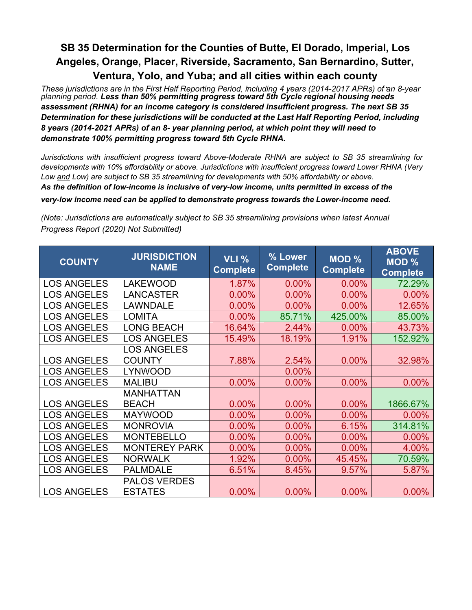These jurisdictions are in the First Half Reporting Period, including 4 years (2014-2017 APRs) of an 8-year *planning period. Less than 50% permitting progress toward 5th Cycle regional housing needs assessment (RHNA) for an income category is considered insufficient progress. The next SB 35 Determination for these jurisdictions will be conducted at the Last Half Reporting Period, including 8 years (2014-2021 APRs) of an 8- year planning period, at which point they will need to demonstrate 100% permitting progress toward 5th Cycle RHNA.*

*Jurisdictions with insufficient progress toward Above-Moderate RHNA are subject to SB 35 streamlining for developments with 10% affordability or above. Jurisdictions with insufficient progress toward Lower RHNA (Very Low and Low) are subject to SB 35 streamlining for developments with 50% affordability or above. As the definition of low-income is inclusive of very-low income, units permitted in excess of the very-low income need can be applied to demonstrate progress towards the Lower-income need.* 

| <b>COUNTY</b>      | <b>JURISDICTION</b><br><b>NAME</b> | <b>VLI %</b><br><b>Complete</b> | % Lower<br><b>Complete</b> | MOD %<br><b>Complete</b> | <b>ABOVE</b><br><b>MOD %</b><br><b>Complete</b> |
|--------------------|------------------------------------|---------------------------------|----------------------------|--------------------------|-------------------------------------------------|
| <b>LOS ANGELES</b> | <b>LAKEWOOD</b>                    | 1.87%                           | 0.00%                      | 0.00%                    | 72.29%                                          |
| <b>LOS ANGELES</b> | <b>LANCASTER</b>                   | 0.00%                           | 0.00%                      | 0.00%                    | 0.00%                                           |
| <b>LOS ANGELES</b> | <b>LAWNDALE</b>                    | 0.00%                           | 0.00%                      | 0.00%                    | 12.65%                                          |
| <b>LOS ANGELES</b> | <b>LOMITA</b>                      | 0.00%                           | 85.71%                     | 425.00%                  | 85.00%                                          |
| <b>LOS ANGELES</b> | <b>LONG BEACH</b>                  | 16.64%                          | 2.44%                      | 0.00%                    | 43.73%                                          |
| <b>LOS ANGELES</b> | <b>LOS ANGELES</b>                 | 15.49%                          | 18.19%                     | 1.91%                    | 152.92%                                         |
|                    | <b>LOS ANGELES</b>                 |                                 |                            |                          |                                                 |
| <b>LOS ANGELES</b> | <b>COUNTY</b>                      | 7.88%                           | 2.54%                      | 0.00%                    | 32.98%                                          |
| <b>LOS ANGELES</b> | <b>LYNWOOD</b>                     |                                 | 0.00%                      |                          |                                                 |
| <b>LOS ANGELES</b> | <b>MALIBU</b>                      | 0.00%                           | 0.00%                      | 0.00%                    | 0.00%                                           |
|                    | <b>MANHATTAN</b>                   |                                 |                            |                          |                                                 |
| <b>LOS ANGELES</b> | <b>BEACH</b>                       | 0.00%                           | 0.00%                      | 0.00%                    | 1866.67%                                        |
| <b>LOS ANGELES</b> | <b>MAYWOOD</b>                     | 0.00%                           | 0.00%                      | 0.00%                    | 0.00%                                           |
| <b>LOS ANGELES</b> | <b>MONROVIA</b>                    | 0.00%                           | 0.00%                      | 6.15%                    | 314.81%                                         |
| <b>LOS ANGELES</b> | <b>MONTEBELLO</b>                  | 0.00%                           | 0.00%                      | 0.00%                    | $0.00\%$                                        |
| <b>LOS ANGELES</b> | <b>MONTEREY PARK</b>               | 0.00%                           | 0.00%                      | 0.00%                    | 4.00%                                           |
| <b>LOS ANGELES</b> | <b>NORWALK</b>                     | 1.92%                           | 0.00%                      | 45.45%                   | 70.59%                                          |
| <b>LOS ANGELES</b> | <b>PALMDALE</b>                    | 6.51%                           | 8.45%                      | 9.57%                    | 5.87%                                           |
|                    | <b>PALOS VERDES</b>                |                                 |                            |                          |                                                 |
| <b>LOS ANGELES</b> | <b>ESTATES</b>                     | 0.00%                           | 0.00%                      | 0.00%                    | 0.00%                                           |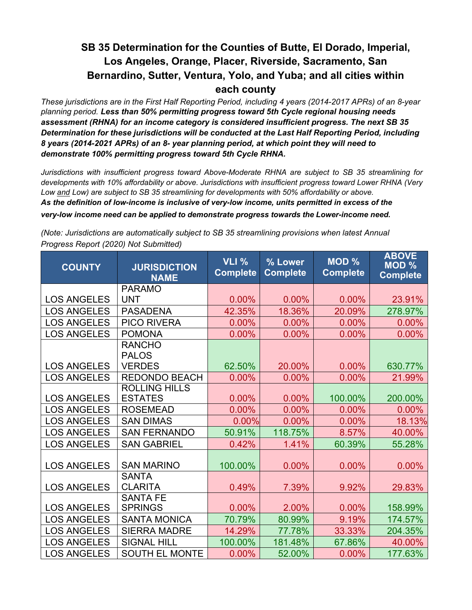*These jurisdictions are in the First Half Reporting Period, including 4 years (2014-2017 APRs) of an 8-year planning period. Less than 50% permitting progress toward 5th Cycle regional housing needs assessment (RHNA) for an income category is considered insufficient progress. The next SB 35 Determination for these jurisdictions will be conducted at the Last Half Reporting Period, including 8 years (2014-2021 APRs) of an 8- year planning period, at which point they will need to demonstrate 100% permitting progress toward 5th Cycle RHNA.*

*Jurisdictions with insufficient progress toward Above-Moderate RHNA are subject to SB 35 streamlining for developments with 10% affordability or above. Jurisdictions with insufficient progress toward Lower RHNA (Very Low and Low) are subject to SB 35 streamlining for developments with 50% affordability or above. As the definition of low-income is inclusive of very-low income, units permitted in excess of the very-low income need can be applied to demonstrate progress towards the Lower-income need.*

| <b>COUNTY</b>      | <b>JURISDICTION</b><br><b>NAME</b> | <b>VLI %</b><br><b>Complete</b> | % Lower<br><b>Complete</b> | <b>MOD %</b><br><b>Complete</b> | <b>ABOVE</b><br><b>MOD %</b><br><b>Complete</b> |
|--------------------|------------------------------------|---------------------------------|----------------------------|---------------------------------|-------------------------------------------------|
|                    | <b>PARAMO</b>                      |                                 |                            |                                 |                                                 |
| <b>LOS ANGELES</b> | <b>UNT</b>                         | 0.00%                           | 0.00%                      | 0.00%                           | 23.91%                                          |
| <b>LOS ANGELES</b> | <b>PASADENA</b>                    | 42.35%                          | 18.36%                     | 20.09%                          | 278.97%                                         |
| <b>LOS ANGELES</b> | <b>PICO RIVERA</b>                 | 0.00%                           | 0.00%                      | 0.00%                           | $0.00\%$                                        |
| <b>LOS ANGELES</b> | <b>POMONA</b>                      | 0.00%                           | 0.00%                      | 0.00%                           | $0.00\%$                                        |
|                    | <b>RANCHO</b>                      |                                 |                            |                                 |                                                 |
|                    | <b>PALOS</b>                       |                                 |                            |                                 |                                                 |
| <b>LOS ANGELES</b> | <b>VERDES</b>                      | 62.50%                          | 20.00%                     | 0.00%                           | 630.77%                                         |
| <b>LOS ANGELES</b> | <b>REDONDO BEACH</b>               | 0.00%                           | 0.00%                      | 0.00%                           | 21.99%                                          |
|                    | <b>ROLLING HILLS</b>               |                                 |                            |                                 |                                                 |
| <b>LOS ANGELES</b> | <b>ESTATES</b>                     | 0.00%                           | 0.00%                      | 100.00%                         | 200.00%                                         |
| <b>LOS ANGELES</b> | <b>ROSEMEAD</b>                    | 0.00%                           | 0.00%                      | 0.00%                           | $0.00\%$                                        |
| <b>LOS ANGELES</b> | <b>SAN DIMAS</b>                   | 0.00%                           | 0.00%                      | 0.00%                           | 18.13%                                          |
| <b>LOS ANGELES</b> | <b>SAN FERNANDO</b>                | 50.91%                          | 118.75%                    | 8.57%                           | 40.00%                                          |
| <b>LOS ANGELES</b> | <b>SAN GABRIEL</b>                 | 0.42%                           | 1.41%                      | 60.39%                          | 55.28%                                          |
| <b>LOS ANGELES</b> | <b>SAN MARINO</b>                  | 100.00%                         | 0.00%                      | 0.00%                           | 0.00%                                           |
| <b>LOS ANGELES</b> | <b>SANTA</b><br><b>CLARITA</b>     | 0.49%                           | 7.39%                      | 9.92%                           | 29.83%                                          |
| <b>LOS ANGELES</b> | <b>SANTA FE</b><br><b>SPRINGS</b>  | 0.00%                           | 2.00%                      | 0.00%                           | 158.99%                                         |
| <b>LOS ANGELES</b> | <b>SANTA MONICA</b>                | 70.79%                          | 80.99%                     | 9.19%                           | 174.57%                                         |
| <b>LOS ANGELES</b> | <b>SIERRA MADRE</b>                | 14.29%                          | 77.78%                     | 33.33%                          | 204.35%                                         |
| <b>LOS ANGELES</b> | <b>SIGNAL HILL</b>                 | 100.00%                         | 181.48%                    | 67.86%                          | 40.00%                                          |
| <b>LOS ANGELES</b> | <b>SOUTH EL MONTE</b>              | 0.00%                           | 52.00%                     | 0.00%                           | 177.63%                                         |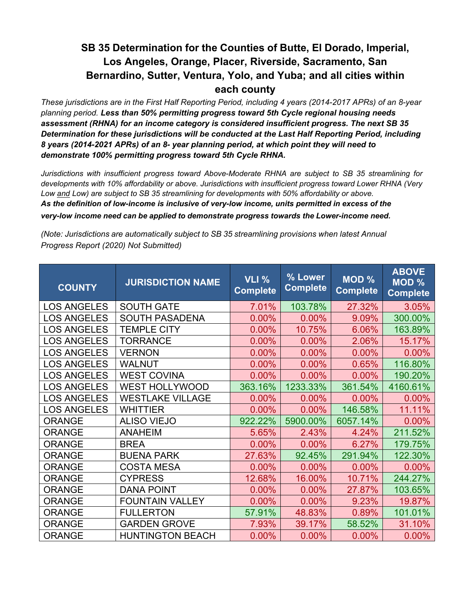*These jurisdictions are in the First Half Reporting Period, including 4 years (2014-2017 APRs) of an 8-year planning period. Less than 50% permitting progress toward 5th Cycle regional housing needs assessment (RHNA) for an income category is considered insufficient progress. The next SB 35 Determination for these jurisdictions will be conducted at the Last Half Reporting Period, including 8 years (2014-2021 APRs) of an 8- year planning period, at which point they will need to demonstrate 100% permitting progress toward 5th Cycle RHNA.*

*Jurisdictions with insufficient progress toward Above-Moderate RHNA are subject to SB 35 streamlining for developments with 10% affordability or above. Jurisdictions with insufficient progress toward Lower RHNA (Very Low and Low) are subject to SB 35 streamlining for developments with 50% affordability or above. As the definition of low-income is inclusive of very-low income, units permitted in excess of the*

#### *very-low income need can be applied to demonstrate progress towards the Lower-income need.*

| <b>COUNTY</b>      | <b>JURISDICTION NAME</b> | VLI %<br><b>Complete</b> | % Lower<br><b>Complete</b> | <b>MOD %</b><br><b>Complete</b> | <b>ABOVE</b><br><b>MOD %</b><br><b>Complete</b> |
|--------------------|--------------------------|--------------------------|----------------------------|---------------------------------|-------------------------------------------------|
| <b>LOS ANGELES</b> | <b>SOUTH GATE</b>        | 7.01%                    | 103.78%                    | 27.32%                          | 3.05%                                           |
| <b>LOS ANGELES</b> | <b>SOUTH PASADENA</b>    | 0.00%                    | 0.00%                      | 9.09%                           | 300.00%                                         |
| <b>LOS ANGELES</b> | <b>TEMPLE CITY</b>       | 0.00%                    | 10.75%                     | 6.06%                           | 163.89%                                         |
| <b>LOS ANGELES</b> | <b>TORRANCE</b>          | 0.00%                    | 0.00%                      | 2.06%                           | 15.17%                                          |
| <b>LOS ANGELES</b> | <b>VERNON</b>            | 0.00%                    | 0.00%                      | 0.00%                           | 0.00%                                           |
| <b>LOS ANGELES</b> | <b>WALNUT</b>            | 0.00%                    | 0.00%                      | 0.65%                           | 116.80%                                         |
| <b>LOS ANGELES</b> | <b>WEST COVINA</b>       | 0.00%                    | 0.00%                      | 0.00%                           | 190.20%                                         |
| <b>LOS ANGELES</b> | <b>WEST HOLLYWOOD</b>    | 363.16%                  | 1233.33%                   | 361.54%                         | 4160.61%                                        |
| <b>LOS ANGELES</b> | <b>WESTLAKE VILLAGE</b>  | 0.00%                    | 0.00%                      | 0.00%                           | 0.00%                                           |
| <b>LOS ANGELES</b> | <b>WHITTIER</b>          | 0.00%                    | 0.00%                      | 146.58%                         | 11.11%                                          |
| <b>ORANGE</b>      | <b>ALISO VIEJO</b>       | 922.22%                  | 5900.00%                   | 6057.14%                        | 0.00%                                           |
| <b>ORANGE</b>      | <b>ANAHEIM</b>           | 5.65%                    | 2.43%                      | 4.24%                           | 211.52%                                         |
| <b>ORANGE</b>      | <b>BREA</b>              | 0.00%                    | 0.00%                      | 6.27%                           | 179.75%                                         |
| <b>ORANGE</b>      | <b>BUENA PARK</b>        | 27.63%                   | 92.45%                     | 291.94%                         | 122.30%                                         |
| <b>ORANGE</b>      | <b>COSTA MESA</b>        | 0.00%                    | 0.00%                      | 0.00%                           | 0.00%                                           |
| <b>ORANGE</b>      | <b>CYPRESS</b>           | 12.68%                   | 16.00%                     | 10.71%                          | 244.27%                                         |
| <b>ORANGE</b>      | <b>DANA POINT</b>        | 0.00%                    | 0.00%                      | 27.87%                          | 103.65%                                         |
| <b>ORANGE</b>      | <b>FOUNTAIN VALLEY</b>   | 0.00%                    | 0.00%                      | 9.23%                           | 19.87%                                          |
| <b>ORANGE</b>      | <b>FULLERTON</b>         | 57.91%                   | 48.83%                     | 0.89%                           | 101.01%                                         |
| <b>ORANGE</b>      | <b>GARDEN GROVE</b>      | 7.93%                    | 39.17%                     | 58.52%                          | 31.10%                                          |
| <b>ORANGE</b>      | <b>HUNTINGTON BEACH</b>  | 0.00%                    | 0.00%                      | 0.00%                           | 0.00%                                           |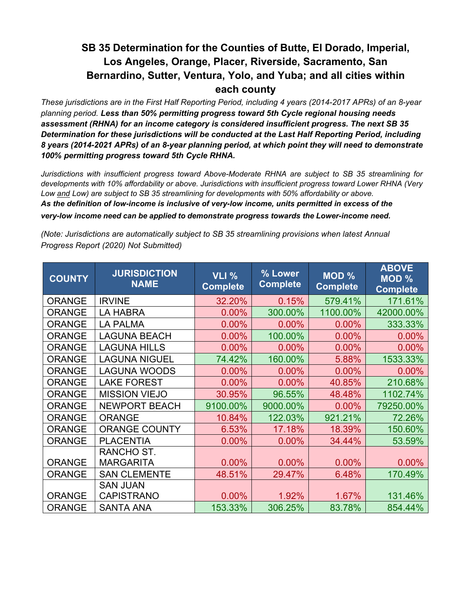*These jurisdictions are in the First Half Reporting Period, including 4 years (2014-2017 APRs) of an 8-year planning period. Less than 50% permitting progress toward 5th Cycle regional housing needs assessment (RHNA) for an income category is considered insufficient progress. The next SB 35 Determination for these jurisdictions will be conducted at the Last Half Reporting Period, including 8 years (2014-2021 APRs) of an 8-year planning period, at which point they will need to demonstrate 100% permitting progress toward 5th Cycle RHNA.*

*Jurisdictions with insufficient progress toward Above-Moderate RHNA are subject to SB 35 streamlining for developments with 10% affordability or above. Jurisdictions with insufficient progress toward Lower RHNA (Very Low and Low) are subject to SB 35 streamlining for developments with 50% affordability or above. As the definition of low-income is inclusive of very-low income, units permitted in excess of the very-low income need can be applied to demonstrate progress towards the Lower-income need.*

| <b>COUNTY</b> | <b>JURISDICTION</b><br><b>NAME</b> | <b>VLI %</b><br><b>Complete</b> | % Lower<br><b>Complete</b> | MOD %<br><b>Complete</b> | <b>ABOVE</b><br><b>MOD %</b><br><b>Complete</b> |
|---------------|------------------------------------|---------------------------------|----------------------------|--------------------------|-------------------------------------------------|
| <b>ORANGE</b> | <b>IRVINE</b>                      | 32.20%                          | 0.15%                      | 579.41%                  | 171.61%                                         |
| <b>ORANGE</b> | <b>LA HABRA</b>                    | 0.00%                           | 300.00%                    | 1100.00%                 | 42000.00%                                       |
| <b>ORANGE</b> | <b>LA PALMA</b>                    | $0.00\%$                        | $0.00\%$                   | $0.00\%$                 | 333.33%                                         |
| <b>ORANGE</b> | <b>LAGUNA BEACH</b>                | 0.00%                           | 100.00%                    | 0.00%                    | 0.00%                                           |
| <b>ORANGE</b> | <b>LAGUNA HILLS</b>                | 0.00%                           | 0.00%                      | 0.00%                    | 0.00%                                           |
| <b>ORANGE</b> | <b>LAGUNA NIGUEL</b>               | 74.42%                          | 160.00%                    | 5.88%                    | 1533.33%                                        |
| <b>ORANGE</b> | <b>LAGUNA WOODS</b>                | 0.00%                           | 0.00%                      | 0.00%                    | 0.00%                                           |
| <b>ORANGE</b> | <b>LAKE FOREST</b>                 | 0.00%                           | 0.00%                      | 40.85%                   | 210.68%                                         |
| <b>ORANGE</b> | <b>MISSION VIEJO</b>               | 30.95%                          | 96.55%                     | 48.48%                   | 1102.74%                                        |
| <b>ORANGE</b> | <b>NEWPORT BEACH</b>               | 9100.00%                        | 9000.00%                   | 0.00%                    | 79250.00%                                       |
| <b>ORANGE</b> | <b>ORANGE</b>                      | 10.84%                          | 122.03%                    | 921.21%                  | 72.26%                                          |
| <b>ORANGE</b> | <b>ORANGE COUNTY</b>               | 6.53%                           | 17.18%                     | 18.39%                   | 150.60%                                         |
| <b>ORANGE</b> | <b>PLACENTIA</b>                   | 0.00%                           | 0.00%                      | 34.44%                   | 53.59%                                          |
|               | RANCHO ST.                         |                                 |                            |                          |                                                 |
| <b>ORANGE</b> | <b>MARGARITA</b>                   | 0.00%                           | 0.00%                      | 0.00%                    | 0.00%                                           |
| <b>ORANGE</b> | <b>SAN CLEMENTE</b>                | 48.51%                          | 29.47%                     | 6.48%                    | 170.49%                                         |
|               | <b>SAN JUAN</b>                    |                                 |                            |                          |                                                 |
| <b>ORANGE</b> | <b>CAPISTRANO</b>                  | 0.00%                           | 1.92%                      | 1.67%                    | 131.46%                                         |
| <b>ORANGE</b> | <b>SANTA ANA</b>                   | 153.33%                         | 306.25%                    | 83.78%                   | 854.44%                                         |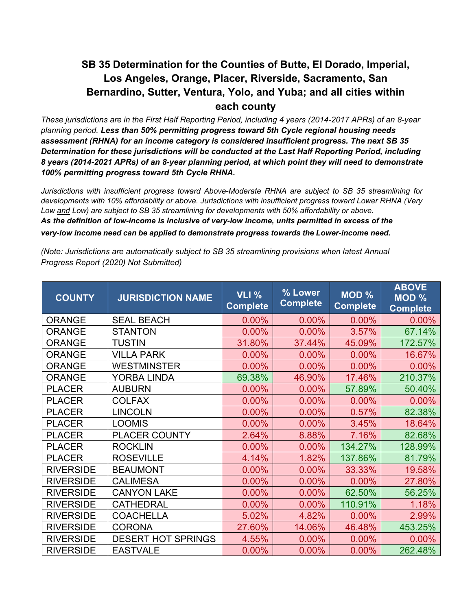*These jurisdictions are in the First Half Reporting Period, including 4 years (2014-2017 APRs) of an 8-year planning period. Less than 50% permitting progress toward 5th Cycle regional housing needs assessment (RHNA) for an income category is considered insufficient progress. The next SB 35 Determination for these jurisdictions will be conducted at the Last Half Reporting Period, including 8 years (2014-2021 APRs) of an 8-year planning period, at which point they will need to demonstrate 100% permitting progress toward 5th Cycle RHNA.*

*Jurisdictions with insufficient progress toward Above-Moderate RHNA are subject to SB 35 streamlining for developments with 10% affordability or above. Jurisdictions with insufficient progress toward Lower RHNA (Very Low and Low) are subject to SB 35 streamlining for developments with 50% affordability or above. As the definition of low-income is inclusive of very-low income, units permitted in excess of the*

*very-low income need can be applied to demonstrate progress towards the Lower-income need.* 

| <b>COUNTY</b>    | <b>JURISDICTION NAME</b>  | VLI %<br><b>Complete</b> | % Lower<br><b>Complete</b> | <b>MOD %</b><br><b>Complete</b> | <b>ABOVE</b><br>MOD %<br><b>Complete</b> |
|------------------|---------------------------|--------------------------|----------------------------|---------------------------------|------------------------------------------|
| <b>ORANGE</b>    | <b>SEAL BEACH</b>         | 0.00%                    | 0.00%                      | 0.00%                           | 0.00%                                    |
| <b>ORANGE</b>    | <b>STANTON</b>            | 0.00%                    | 0.00%                      | 3.57%                           | 67.14%                                   |
| <b>ORANGE</b>    | <b>TUSTIN</b>             | 31.80%                   | 37.44%                     | 45.09%                          | 172.57%                                  |
| <b>ORANGE</b>    | <b>VILLA PARK</b>         | 0.00%                    | 0.00%                      | 0.00%                           | 16.67%                                   |
| <b>ORANGE</b>    | <b>WESTMINSTER</b>        | 0.00%                    | 0.00%                      | 0.00%                           | 0.00%                                    |
| <b>ORANGE</b>    | <b>YORBA LINDA</b>        | 69.38%                   | 46.90%                     | 17.46%                          | 210.37%                                  |
| <b>PLACER</b>    | <b>AUBURN</b>             | 0.00%                    | 0.00%                      | 57.89%                          | 50.40%                                   |
| <b>PLACER</b>    | <b>COLFAX</b>             | 0.00%                    | 0.00%                      | 0.00%                           | 0.00%                                    |
| <b>PLACER</b>    | <b>LINCOLN</b>            | 0.00%                    | 0.00%                      | 0.57%                           | 82.38%                                   |
| <b>PLACER</b>    | <b>LOOMIS</b>             | 0.00%                    | 0.00%                      | 3.45%                           | 18.64%                                   |
| <b>PLACER</b>    | <b>PLACER COUNTY</b>      | 2.64%                    | 8.88%                      | 7.16%                           | 82.68%                                   |
| <b>PLACER</b>    | <b>ROCKLIN</b>            | 0.00%                    | 0.00%                      | 134.27%                         | 128.99%                                  |
| <b>PLACER</b>    | <b>ROSEVILLE</b>          | 4.14%                    | 1.82%                      | 137.86%                         | 81.79%                                   |
| <b>RIVERSIDE</b> | <b>BEAUMONT</b>           | 0.00%                    | 0.00%                      | 33.33%                          | 19.58%                                   |
| <b>RIVERSIDE</b> | <b>CALIMESA</b>           | 0.00%                    | 0.00%                      | 0.00%                           | 27.80%                                   |
| <b>RIVERSIDE</b> | <b>CANYON LAKE</b>        | 0.00%                    | 0.00%                      | 62.50%                          | 56.25%                                   |
| <b>RIVERSIDE</b> | <b>CATHEDRAL</b>          | 0.00%                    | 0.00%                      | 110.91%                         | 1.18%                                    |
| <b>RIVERSIDE</b> | <b>COACHELLA</b>          | 5.02%                    | 4.82%                      | 0.00%                           | 2.99%                                    |
| <b>RIVERSIDE</b> | <b>CORONA</b>             | 27.60%                   | 14.06%                     | 46.48%                          | 453.25%                                  |
| <b>RIVERSIDE</b> | <b>DESERT HOT SPRINGS</b> | 4.55%                    | 0.00%                      | 0.00%                           | 0.00%                                    |
| <b>RIVERSIDE</b> | <b>EASTVALE</b>           | 0.00%                    | 0.00%                      | 0.00%                           | 262.48%                                  |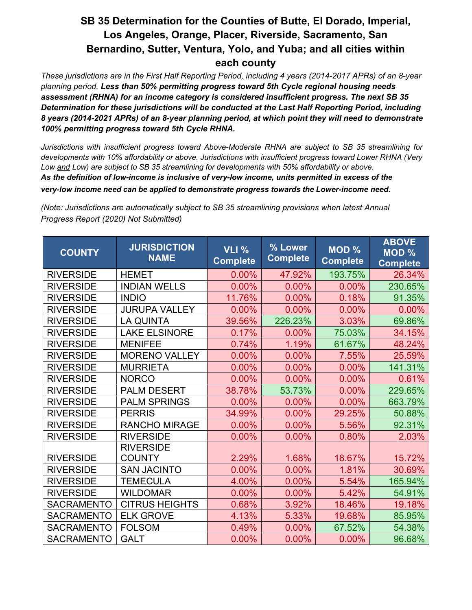*These jurisdictions are in the First Half Reporting Period, including 4 years (2014-2017 APRs) of an 8-year planning period. Less than 50% permitting progress toward 5th Cycle regional housing needs assessment (RHNA) for an income category is considered insufficient progress. The next SB 35 Determination for these jurisdictions will be conducted at the Last Half Reporting Period, including 8 years (2014-2021 APRs) of an 8-year planning period, at which point they will need to demonstrate 100% permitting progress toward 5th Cycle RHNA.*

*Jurisdictions with insufficient progress toward Above-Moderate RHNA are subject to SB 35 streamlining for developments with 10% affordability or above. Jurisdictions with insufficient progress toward Lower RHNA (Very Low and Low) are subject to SB 35 streamlining for developments with 50% affordability or above. As the definition of low-income is inclusive of very-low income, units permitted in excess of the very-low income need can be applied to demonstrate progress towards the Lower-income need.* 

| <b>COUNTY</b>     | <b>JURISDICTION</b><br><b>NAME</b> | VLI %<br><b>Complete</b> | % Lower<br><b>Complete</b> | <b>MOD %</b><br><b>Complete</b> | <b>ABOVE</b><br><b>MOD %</b><br><b>Complete</b> |
|-------------------|------------------------------------|--------------------------|----------------------------|---------------------------------|-------------------------------------------------|
| <b>RIVERSIDE</b>  | <b>HEMET</b>                       | 0.00%                    | 47.92%                     | 193.75%                         | 26.34%                                          |
| <b>RIVERSIDE</b>  | <b>INDIAN WELLS</b>                | 0.00%                    | 0.00%                      | 0.00%                           | 230.65%                                         |
| <b>RIVERSIDE</b>  | <b>INDIO</b>                       | 11.76%                   | 0.00%                      | 0.18%                           | 91.35%                                          |
| <b>RIVERSIDE</b>  | <b>JURUPA VALLEY</b>               | 0.00%                    | 0.00%                      | 0.00%                           | 0.00%                                           |
| <b>RIVERSIDE</b>  | <b>LA QUINTA</b>                   | 39.56%                   | 226.23%                    | 3.03%                           | 69.86%                                          |
| <b>RIVERSIDE</b>  | <b>LAKE ELSINORE</b>               | 0.17%                    | 0.00%                      | 75.03%                          | 34.15%                                          |
| <b>RIVERSIDE</b>  | <b>MENIFEE</b>                     | 0.74%                    | 1.19%                      | 61.67%                          | 48.24%                                          |
| <b>RIVERSIDE</b>  | <b>MORENO VALLEY</b>               | 0.00%                    | 0.00%                      | 7.55%                           | 25.59%                                          |
| <b>RIVERSIDE</b>  | <b>MURRIETA</b>                    | 0.00%                    | 0.00%                      | 0.00%                           | 141.31%                                         |
| <b>RIVERSIDE</b>  | <b>NORCO</b>                       | 0.00%                    | 0.00%                      | 0.00%                           | 0.61%                                           |
| <b>RIVERSIDE</b>  | <b>PALM DESERT</b>                 | 38.78%                   | 53.73%                     | 0.00%                           | 229.65%                                         |
| <b>RIVERSIDE</b>  | <b>PALM SPRINGS</b>                | 0.00%                    | 0.00%                      | 0.00%                           | 663.79%                                         |
| <b>RIVERSIDE</b>  | <b>PERRIS</b>                      | 34.99%                   | 0.00%                      | 29.25%                          | 50.88%                                          |
| <b>RIVERSIDE</b>  | <b>RANCHO MIRAGE</b>               | 0.00%                    | 0.00%                      | 5.56%                           | 92.31%                                          |
| <b>RIVERSIDE</b>  | <b>RIVERSIDE</b>                   | 0.00%                    | 0.00%                      | 0.80%                           | 2.03%                                           |
|                   | <b>RIVERSIDE</b>                   |                          |                            |                                 |                                                 |
| <b>RIVERSIDE</b>  | <b>COUNTY</b>                      | 2.29%                    | 1.68%                      | 18.67%                          | 15.72%                                          |
| <b>RIVERSIDE</b>  | <b>SAN JACINTO</b>                 | 0.00%                    | 0.00%                      | 1.81%                           | 30.69%                                          |
| <b>RIVERSIDE</b>  | <b>TEMECULA</b>                    | 4.00%                    | 0.00%                      | 5.54%                           | 165.94%                                         |
| <b>RIVERSIDE</b>  | <b>WILDOMAR</b>                    | 0.00%                    | 0.00%                      | 5.42%                           | 54.91%                                          |
| <b>SACRAMENTO</b> | <b>CITRUS HEIGHTS</b>              | 0.68%                    | 3.92%                      | 18.46%                          | 19.18%                                          |
| <b>SACRAMENTO</b> | <b>ELK GROVE</b>                   | 4.13%                    | 5.33%                      | 19.68%                          | 85.95%                                          |
| <b>SACRAMENTO</b> | <b>FOLSOM</b>                      | 0.49%                    | $0.00\%$                   | 67.52%                          | 54.38%                                          |
| <b>SACRAMENTO</b> | <b>GALT</b>                        | 0.00%                    | 0.00%                      | $0.00\%$                        | 96.68%                                          |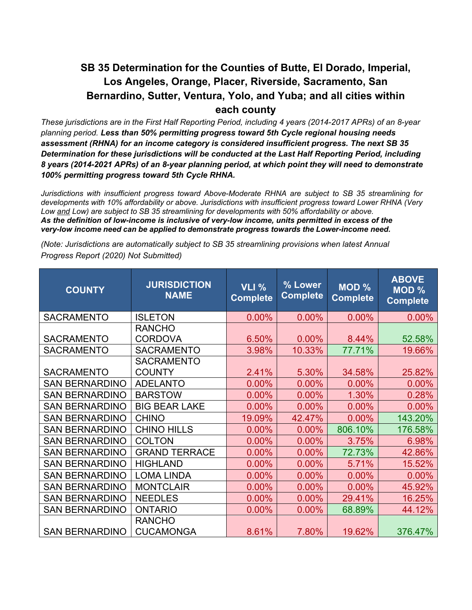*These jurisdictions are in the First Half Reporting Period, including 4 years (2014-2017 APRs) of an 8-year planning period. Less than 50% permitting progress toward 5th Cycle regional housing needs assessment (RHNA) for an income category is considered insufficient progress. The next SB 35 Determination for these jurisdictions will be conducted at the Last Half Reporting Period, including 8 years (2014-2021 APRs) of an 8-year planning period, at which point they will need to demonstrate 100% permitting progress toward 5th Cycle RHNA.*

*Jurisdictions with insufficient progress toward Above-Moderate RHNA are subject to SB 35 streamlining for developments with 10% affordability or above. Jurisdictions with insufficient progress toward Lower RHNA (Very Low and Low) are subject to SB 35 streamlining for developments with 50% affordability or above. As the definition of low-income is inclusive of very-low income, units permitted in excess of the very-low income need can be applied to demonstrate progress towards the Lower-income need.* 

| <b>COUNTY</b>         | <b>JURISDICTION</b><br><b>NAME</b> | <b>VLI %</b><br><b>Complete</b> | % Lower<br><b>Complete</b> | <b>MOD %</b><br><b>Complete</b> | <b>ABOVE</b><br><b>MOD %</b><br><b>Complete</b> |
|-----------------------|------------------------------------|---------------------------------|----------------------------|---------------------------------|-------------------------------------------------|
| <b>SACRAMENTO</b>     | <b>ISLETON</b>                     | 0.00%                           | 0.00%                      | 0.00%                           | 0.00%                                           |
|                       | <b>RANCHO</b>                      |                                 |                            |                                 |                                                 |
| <b>SACRAMENTO</b>     | <b>CORDOVA</b>                     | 6.50%                           | 0.00%                      | 8.44%                           | 52.58%                                          |
| <b>SACRAMENTO</b>     | <b>SACRAMENTO</b>                  | 3.98%                           | 10.33%                     | 77.71%                          | 19.66%                                          |
|                       | <b>SACRAMENTO</b>                  |                                 |                            |                                 |                                                 |
| <b>SACRAMENTO</b>     | <b>COUNTY</b>                      | 2.41%                           | 5.30%                      | 34.58%                          | 25.82%                                          |
| <b>SAN BERNARDINO</b> | <b>ADELANTO</b>                    | 0.00%                           | 0.00%                      | 0.00%                           | 0.00%                                           |
| <b>SAN BERNARDINO</b> | <b>BARSTOW</b>                     | 0.00%                           | 0.00%                      | 1.30%                           | 0.28%                                           |
| <b>SAN BERNARDINO</b> | <b>BIG BEAR LAKE</b>               | 0.00%                           | 0.00%                      | 0.00%                           | 0.00%                                           |
| <b>SAN BERNARDINO</b> | <b>CHINO</b>                       | 19.09%                          | 42.47%                     | 0.00%                           | 143.20%                                         |
| <b>SAN BERNARDINO</b> | <b>CHINO HILLS</b>                 | 0.00%                           | 0.00%                      | 806.10%                         | 176.58%                                         |
| <b>SAN BERNARDINO</b> | <b>COLTON</b>                      | 0.00%                           | 0.00%                      | 3.75%                           | 6.98%                                           |
| <b>SAN BERNARDINO</b> | <b>GRAND TERRACE</b>               | 0.00%                           | 0.00%                      | 72.73%                          | 42.86%                                          |
| <b>SAN BERNARDINO</b> | <b>HIGHLAND</b>                    | 0.00%                           | 0.00%                      | 5.71%                           | 15.52%                                          |
| <b>SAN BERNARDINO</b> | <b>LOMA LINDA</b>                  | 0.00%                           | 0.00%                      | 0.00%                           | 0.00%                                           |
| <b>SAN BERNARDINO</b> | <b>MONTCLAIR</b>                   | 0.00%                           | 0.00%                      | 0.00%                           | 45.92%                                          |
| <b>SAN BERNARDINO</b> | <b>NEEDLES</b>                     | 0.00%                           | 0.00%                      | 29.41%                          | 16.25%                                          |
| <b>SAN BERNARDINO</b> | <b>ONTARIO</b>                     | 0.00%                           | 0.00%                      | 68.89%                          | 44.12%                                          |
|                       | <b>RANCHO</b>                      |                                 |                            |                                 |                                                 |
| <b>SAN BERNARDINO</b> | <b>CUCAMONGA</b>                   | 8.61%                           | 7.80%                      | 19.62%                          | 376.47%                                         |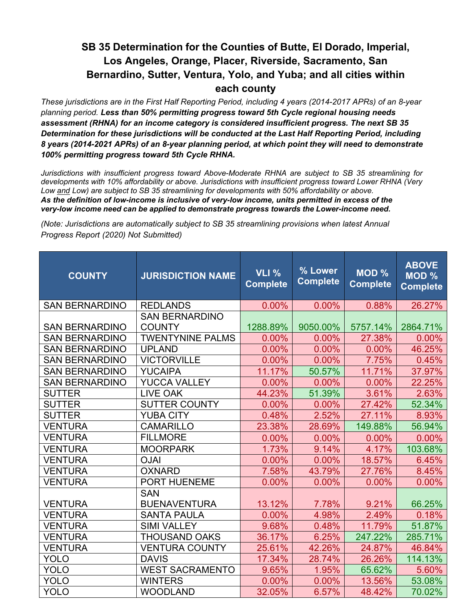*These jurisdictions are in the First Half Reporting Period, including 4 years (2014-2017 APRs) of an 8-year planning period. Less than 50% permitting progress toward 5th Cycle regional housing needs assessment (RHNA) for an income category is considered insufficient progress. The next SB 35 Determination for these jurisdictions will be conducted at the Last Half Reporting Period, including 8 years (2014-2021 APRs) of an 8-year planning period, at which point they will need to demonstrate 100% permitting progress toward 5th Cycle RHNA.*

*Jurisdictions with insufficient progress toward Above-Moderate RHNA are subject to SB 35 streamlining for developments with 10% affordability or above. Jurisdictions with insufficient progress toward Lower RHNA (Very Low and Low) are subject to SB 35 streamlining for developments with 50% affordability or above. As the definition of low-income is inclusive of very-low income, units permitted in excess of the very-low income need can be applied to demonstrate progress towards the Lower-income need.* 

| <b>COUNTY</b>         | <b>JURISDICTION NAME</b>               | <b>VLI %</b><br><b>Complete</b> | % Lower<br><b>Complete</b> | <b>MOD %</b><br><b>Complete</b> | <b>ABOVE</b><br><b>MOD %</b><br><b>Complete</b> |
|-----------------------|----------------------------------------|---------------------------------|----------------------------|---------------------------------|-------------------------------------------------|
| <b>SAN BERNARDINO</b> | <b>REDLANDS</b>                        | 0.00%                           | 0.00%                      | 0.88%                           | 26.27%                                          |
| <b>SAN BERNARDINO</b> | <b>SAN BERNARDINO</b><br><b>COUNTY</b> | 1288.89%                        | 9050.00%                   | 5757.14%                        | 2864.71%                                        |
| <b>SAN BERNARDINO</b> | <b>TWENTYNINE PALMS</b>                | 0.00%                           | 0.00%                      | 27.38%                          | $0.00\%$                                        |
| <b>SAN BERNARDINO</b> | <b>UPLAND</b>                          | 0.00%                           | 0.00%                      | 0.00%                           | 46.25%                                          |
| <b>SAN BERNARDINO</b> | <b>VICTORVILLE</b>                     | 0.00%                           | 0.00%                      | 7.75%                           | 0.45%                                           |
| <b>SAN BERNARDINO</b> | <b>YUCAIPA</b>                         | 11.17%                          | 50.57%                     | 11.71%                          | 37.97%                                          |
| <b>SAN BERNARDINO</b> | <b>YUCCA VALLEY</b>                    | 0.00%                           | 0.00%                      | 0.00%                           | 22.25%                                          |
| <b>SUTTER</b>         | <b>LIVE OAK</b>                        | 44.23%                          | 51.39%                     | 3.61%                           | 2.63%                                           |
| <b>SUTTER</b>         | <b>SUTTER COUNTY</b>                   | 0.00%                           | 0.00%                      | 27.42%                          | 52.34%                                          |
| <b>SUTTER</b>         | <b>YUBA CITY</b>                       | 0.48%                           | 2.52%                      | 27.11%                          | 8.93%                                           |
| <b>VENTURA</b>        | <b>CAMARILLO</b>                       | 23.38%                          | 28.69%                     | 149.88%                         | 56.94%                                          |
| <b>VENTURA</b>        | <b>FILLMORE</b>                        | 0.00%                           | 0.00%                      | 0.00%                           | 0.00%                                           |
| <b>VENTURA</b>        | <b>MOORPARK</b>                        | 1.73%                           | 9.14%                      | 4.17%                           | 103.68%                                         |
| <b>VENTURA</b>        | <b>OJAI</b>                            | 0.00%                           | 0.00%                      | 18.57%                          | 6.45%                                           |
| <b>VENTURA</b>        | <b>OXNARD</b>                          | 7.58%                           | 43.79%                     | 27.76%                          | 8.45%                                           |
| <b>VENTURA</b>        | PORT HUENEME                           | 0.00%                           | 0.00%                      | 0.00%                           | 0.00%                                           |
| <b>VENTURA</b>        | <b>SAN</b><br><b>BUENAVENTURA</b>      | 13.12%                          | 7.78%                      | 9.21%                           | 66.25%                                          |
| <b>VENTURA</b>        | <b>SANTA PAULA</b>                     | 0.00%                           | 4.98%                      | 2.49%                           | 0.18%                                           |
| <b>VENTURA</b>        | <b>SIMI VALLEY</b>                     | 9.68%                           | 0.48%                      | 11.79%                          | 51.87%                                          |
| <b>VENTURA</b>        | <b>THOUSAND OAKS</b>                   | 36.17%                          | 6.25%                      | 247.22%                         | 285.71%                                         |
| <b>VENTURA</b>        | <b>VENTURA COUNTY</b>                  | 25.61%                          | 42.26%                     | 24.87%                          | 46.84%                                          |
| <b>YOLO</b>           | <b>DAVIS</b>                           | 17.34%                          | 28.74%                     | 26.26%                          | 114.13%                                         |
| <b>YOLO</b>           | <b>WEST SACRAMENTO</b>                 | 9.65%                           | 1.95%                      | 65.62%                          | 5.60%                                           |
| <b>YOLO</b>           | <b>WINTERS</b>                         | 0.00%                           | 0.00%                      | 13.56%                          | 53.08%                                          |
| <b>YOLO</b>           | <b>WOODLAND</b>                        | 32.05%                          | 6.57%                      | 48.42%                          | 70.02%                                          |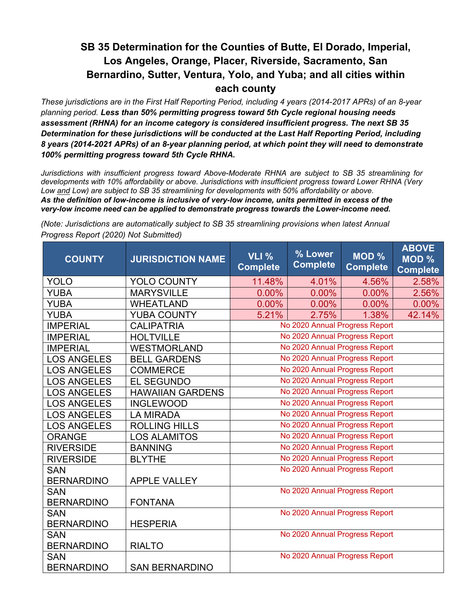*These jurisdictions are in the First Half Reporting Period, including 4 years (2014-2017 APRs) of an 8-year planning period. Less than 50% permitting progress toward 5th Cycle regional housing needs assessment (RHNA) for an income category is considered insufficient progress. The next SB 35 Determination for these jurisdictions will be conducted at the Last Half Reporting Period, including 8 years (2014-2021 APRs) of an 8-year planning period, at which point they will need to demonstrate 100% permitting progress toward 5th Cycle RHNA.*

*Jurisdictions with insufficient progress toward Above-Moderate RHNA are subject to SB 35 streamlining for developments with 10% affordability or above. Jurisdictions with insufficient progress toward Lower RHNA (Very Low and Low) are subject to SB 35 streamlining for developments with 50% affordability or above. As the definition of low-income is inclusive of very-low income, units permitted in excess of the very-low income need can be applied to demonstrate progress towards the Lower-income need.* 

| <b>COUNTY</b>      | <b>JURISDICTION NAME</b> | <b>VLI %</b><br><b>Complete</b> | % Lower<br><b>Complete</b>     | MOD %<br><b>Complete</b> | <b>ABOVE</b><br>MOD %<br><b>Complete</b> |  |
|--------------------|--------------------------|---------------------------------|--------------------------------|--------------------------|------------------------------------------|--|
| YOLO               | <b>YOLO COUNTY</b>       | 11.48%                          | 4.01%                          | 4.56%                    | 2.58%                                    |  |
| <b>YUBA</b>        | <b>MARYSVILLE</b>        | 0.00%                           | 0.00%                          | 0.00%                    | 2.56%                                    |  |
| <b>YUBA</b>        | <b>WHEATLAND</b>         | 0.00%                           | 0.00%                          | 0.00%                    | 0.00%                                    |  |
| <b>YUBA</b>        | <b>YUBA COUNTY</b>       | 5.21%                           | 2.75%                          | 1.38%                    | 42.14%                                   |  |
| <b>IMPERIAL</b>    | <b>CALIPATRIA</b>        |                                 | No 2020 Annual Progress Report |                          |                                          |  |
| <b>IMPERIAL</b>    | <b>HOLTVILLE</b>         |                                 | No 2020 Annual Progress Report |                          |                                          |  |
| <b>IMPERIAL</b>    | <b>WESTMORLAND</b>       |                                 | No 2020 Annual Progress Report |                          |                                          |  |
| <b>LOS ANGELES</b> | <b>BELL GARDENS</b>      |                                 | No 2020 Annual Progress Report |                          |                                          |  |
| <b>LOS ANGELES</b> | <b>COMMERCE</b>          |                                 | No 2020 Annual Progress Report |                          |                                          |  |
| <b>LOS ANGELES</b> | <b>EL SEGUNDO</b>        |                                 | No 2020 Annual Progress Report |                          |                                          |  |
| <b>LOS ANGELES</b> | <b>HAWAIIAN GARDENS</b>  | No 2020 Annual Progress Report  |                                |                          |                                          |  |
| <b>LOS ANGELES</b> | <b>INGLEWOOD</b>         |                                 | No 2020 Annual Progress Report |                          |                                          |  |
| <b>LOS ANGELES</b> | <b>LA MIRADA</b>         | No 2020 Annual Progress Report  |                                |                          |                                          |  |
| <b>LOS ANGELES</b> | <b>ROLLING HILLS</b>     |                                 | No 2020 Annual Progress Report |                          |                                          |  |
| <b>ORANGE</b>      | <b>LOS ALAMITOS</b>      |                                 | No 2020 Annual Progress Report |                          |                                          |  |
| <b>RIVERSIDE</b>   | <b>BANNING</b>           |                                 | No 2020 Annual Progress Report |                          |                                          |  |
| <b>RIVERSIDE</b>   | <b>BLYTHE</b>            |                                 | No 2020 Annual Progress Report |                          |                                          |  |
| <b>SAN</b>         |                          |                                 | No 2020 Annual Progress Report |                          |                                          |  |
| <b>BERNARDINO</b>  | <b>APPLE VALLEY</b>      |                                 |                                |                          |                                          |  |
| <b>SAN</b>         |                          |                                 | No 2020 Annual Progress Report |                          |                                          |  |
| <b>BERNARDINO</b>  | <b>FONTANA</b>           |                                 |                                |                          |                                          |  |
| <b>SAN</b>         |                          |                                 | No 2020 Annual Progress Report |                          |                                          |  |
| <b>BERNARDINO</b>  | <b>HESPERIA</b>          |                                 |                                |                          |                                          |  |
| <b>SAN</b>         |                          |                                 | No 2020 Annual Progress Report |                          |                                          |  |
| <b>BERNARDINO</b>  | <b>RIALTO</b>            |                                 |                                |                          |                                          |  |
| <b>SAN</b>         |                          |                                 | No 2020 Annual Progress Report |                          |                                          |  |
| <b>BERNARDINO</b>  | <b>SAN BERNARDINO</b>    |                                 |                                |                          |                                          |  |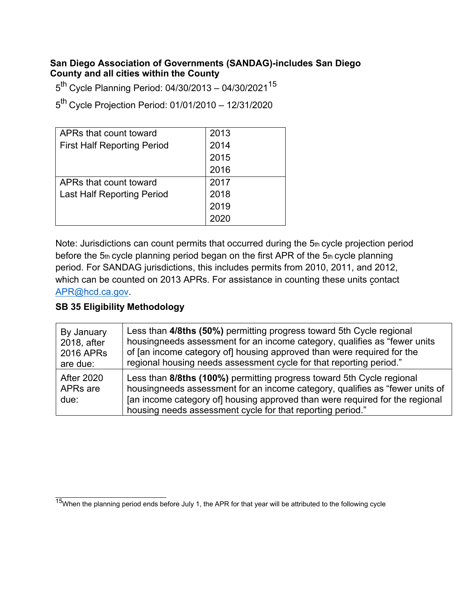#### **San Diego Association of Governments (SANDAG)-includes San Diego County and all cities within the County**

 $5<sup>th</sup>$  Cycle Planning Period: 04/30/2013 – 04/30/2021<sup>15</sup>

5th Cycle Projection Period: 01/01/2010 – 12/31/2020

| APRs that count toward             | 2013 |
|------------------------------------|------|
| <b>First Half Reporting Period</b> | 2014 |
|                                    | 2015 |
|                                    | 2016 |
| APRs that count toward             | 2017 |
| <b>Last Half Reporting Period</b>  | 2018 |
|                                    | 2019 |
|                                    |      |

Note: Jurisdictions can count permits that occurred during the 5th cycle projection period before the 5th cycle planning period began on the first APR of the 5th cycle planning period. For SANDAG jurisdictions, this includes permits from 2010, 2011, and 2012, which can be counted on 2013 APRs. For assistance in counting these units contact [APR@hcd.ca.gov.](mailto:APR@hcd.ca.gov)

| By January                                        | Less than 4/8ths (50%) permitting progress toward 5th Cycle regional                                                                                                                                                                                                                                |
|---------------------------------------------------|-----------------------------------------------------------------------------------------------------------------------------------------------------------------------------------------------------------------------------------------------------------------------------------------------------|
| 2018, after                                       | housingneeds assessment for an income category, qualifies as "fewer units                                                                                                                                                                                                                           |
| 2016 APRs                                         | of [an income category of] housing approved than were required for the                                                                                                                                                                                                                              |
| are due:                                          | regional housing needs assessment cycle for that reporting period."                                                                                                                                                                                                                                 |
| <b>After 2020</b><br>APR <sub>s</sub> are<br>due: | Less than 8/8ths (100%) permitting progress toward 5th Cycle regional<br>housingneeds assessment for an income category, qualifies as "fewer units of<br>[an income category of] housing approved than were required for the regional<br>housing needs assessment cycle for that reporting period." |

<span id="page-36-0"></span> $15$ When the planning period ends before July 1, the APR for that year will be attributed to the following cycle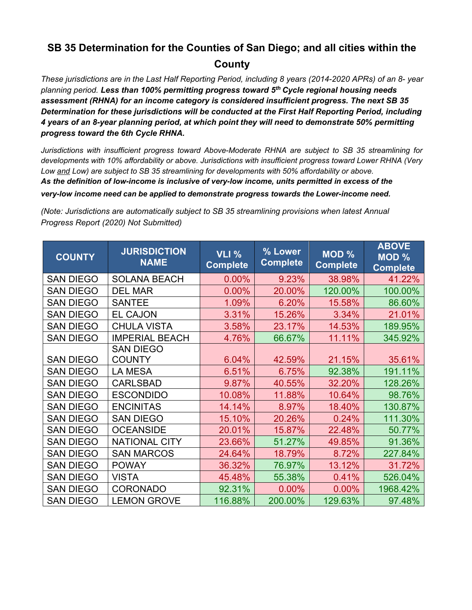# **SB 35 Determination for the Counties of San Diego; and all cities within the County**

*These jurisdictions are in the Last Half Reporting Period, including 8 years (2014-2020 APRs) of an 8- year planning period. Less than 100% permitting progress toward 5th Cycle regional housing needs assessment (RHNA) for an income category is considered insufficient progress. The next SB 35 Determination for these jurisdictions will be conducted at the First Half Reporting Period, including 4 years of an 8-year planning period, at which point they will need to demonstrate 50% permitting progress toward the 6th Cycle RHNA.*

*Jurisdictions with insufficient progress toward Above-Moderate RHNA are subject to SB 35 streamlining for developments with 10% affordability or above. Jurisdictions with insufficient progress toward Lower RHNA (Very Low and Low) are subject to SB 35 streamlining for developments with 50% affordability or above. As the definition of low-income is inclusive of very-low income, units permitted in excess of the very-low income need can be applied to demonstrate progress towards the Lower-income need.* 

| <b>COUNTY</b>    | <b>JURISDICTION</b><br><b>NAME</b> | <b>VLI %</b><br><b>Complete</b> | % Lower<br><b>Complete</b> | MOD %<br><b>Complete</b> | <b>ABOVE</b><br><b>MOD %</b><br><b>Complete</b> |
|------------------|------------------------------------|---------------------------------|----------------------------|--------------------------|-------------------------------------------------|
| <b>SAN DIEGO</b> | <b>SOLANA BEACH</b>                | 0.00%                           | 9.23%                      | 38.98%                   | 41.22%                                          |
| <b>SAN DIEGO</b> | <b>DEL MAR</b>                     | 0.00%                           | 20.00%                     | 120.00%                  | 100.00%                                         |
| <b>SAN DIEGO</b> | <b>SANTEE</b>                      | 1.09%                           | 6.20%                      | 15.58%                   | 86.60%                                          |
| <b>SAN DIEGO</b> | <b>EL CAJON</b>                    | 3.31%                           | 15.26%                     | 3.34%                    | 21.01%                                          |
| <b>SAN DIEGO</b> | <b>CHULA VISTA</b>                 | 3.58%                           | 23.17%                     | 14.53%                   | 189.95%                                         |
| <b>SAN DIEGO</b> | <b>IMPERIAL BEACH</b>              | 4.76%                           | 66.67%                     | 11.11%                   | 345.92%                                         |
|                  | <b>SAN DIEGO</b>                   |                                 |                            |                          |                                                 |
| <b>SAN DIEGO</b> | <b>COUNTY</b>                      | 6.04%                           | 42.59%                     | 21.15%                   | 35.61%                                          |
| <b>SAN DIEGO</b> | <b>LA MESA</b>                     | 6.51%                           | 6.75%                      | 92.38%                   | 191.11%                                         |
| <b>SAN DIEGO</b> | <b>CARLSBAD</b>                    | 9.87%                           | 40.55%                     | 32.20%                   | 128.26%                                         |
| <b>SAN DIEGO</b> | <b>ESCONDIDO</b>                   | 10.08%                          | 11.88%                     | 10.64%                   | 98.76%                                          |
| <b>SAN DIEGO</b> | <b>ENCINITAS</b>                   | 14.14%                          | 8.97%                      | 18.40%                   | 130.87%                                         |
| <b>SAN DIEGO</b> | <b>SAN DIEGO</b>                   | 15.10%                          | 20.26%                     | 0.24%                    | 111.30%                                         |
| <b>SAN DIEGO</b> | <b>OCEANSIDE</b>                   | 20.01%                          | 15.87%                     | 22.48%                   | 50.77%                                          |
| <b>SAN DIEGO</b> | <b>NATIONAL CITY</b>               | 23.66%                          | 51.27%                     | 49.85%                   | 91.36%                                          |
| <b>SAN DIEGO</b> | <b>SAN MARCOS</b>                  | 24.64%                          | 18.79%                     | 8.72%                    | 227.84%                                         |
| <b>SAN DIEGO</b> | <b>POWAY</b>                       | 36.32%                          | 76.97%                     | 13.12%                   | 31.72%                                          |
| <b>SAN DIEGO</b> | <b>VISTA</b>                       | 45.48%                          | 55.38%                     | 0.41%                    | 526.04%                                         |
| <b>SAN DIEGO</b> | <b>CORONADO</b>                    | 92.31%                          | 0.00%                      | 0.00%                    | 1968.42%                                        |
| <b>SAN DIEGO</b> | <b>LEMON GROVE</b>                 | 116.88%                         | 200.00%                    | 129.63%                  | 97.48%                                          |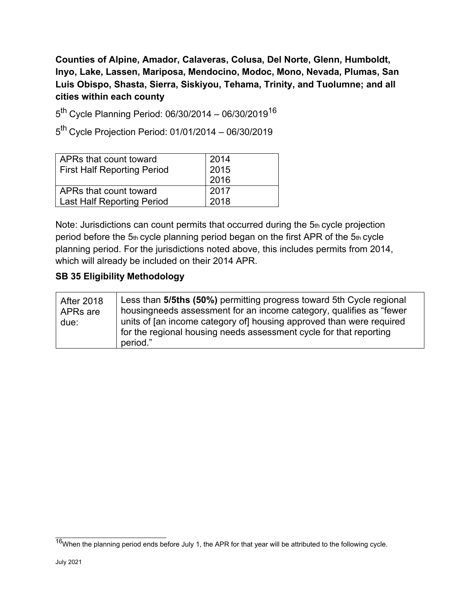**Counties of Alpine, Amador, Calaveras, Colusa, Del Norte, Glenn, Humboldt, Inyo, Lake, Lassen, Mariposa, Mendocino, Modoc, Mono, Nevada, Plumas, San Luis Obispo, Shasta, Sierra, Siskiyou, Tehama, Trinity, and Tuolumne; and all cities within each county**

 $5<sup>th</sup>$  Cycle Planning Period: 06/30/2014 – 06/30/2019<sup>16</sup>

5th Cycle Projection Period: 01/01/2014 – 06/30/2019

| 2014<br>2015<br>2016 |
|----------------------|
| 2017<br>2018         |
|                      |

Note: Jurisdictions can count permits that occurred during the 5th cycle projection period before the 5th cycle planning period began on the first APR of the 5th cycle planning period. For the jurisdictions noted above, this includes permits from 2014, which will already be included on their 2014 APR.

| <b>After 2018</b><br>APRs are<br>due: | Less than 5/5ths (50%) permitting progress toward 5th Cycle regional<br>housingneeds assessment for an income category, qualifies as "fewer<br>units of [an income category of] housing approved than were required<br>for the regional housing needs assessment cycle for that reporting<br>period." |
|---------------------------------------|-------------------------------------------------------------------------------------------------------------------------------------------------------------------------------------------------------------------------------------------------------------------------------------------------------|
|---------------------------------------|-------------------------------------------------------------------------------------------------------------------------------------------------------------------------------------------------------------------------------------------------------------------------------------------------------|

<span id="page-38-0"></span> $16$ When the planning period ends before July 1, the APR for that year will be attributed to the following cycle.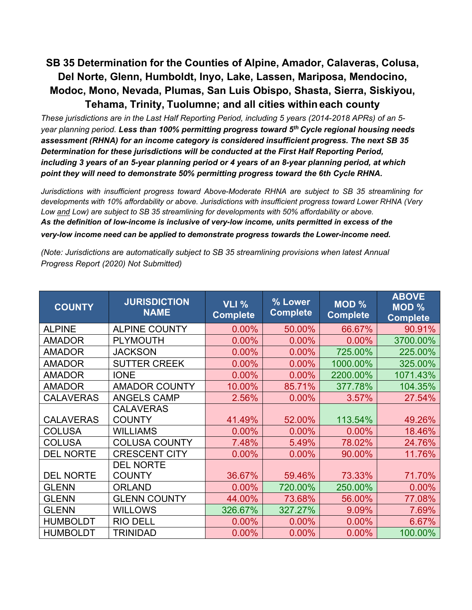# **SB 35 Determination for the Counties of Alpine, Amador, Calaveras, Colusa, Del Norte, Glenn, Humboldt, Inyo, Lake, Lassen, Mariposa, Mendocino, Modoc, Mono, Nevada, Plumas, San Luis Obispo, Shasta, Sierra, Siskiyou, Tehama, Trinity, Tuolumne; and all cities withineach county**

*These jurisdictions are in the Last Half Reporting Period, including 5 years (2014-2018 APRs) of an 5 year planning period. Less than 100% permitting progress toward 5th Cycle regional housing needs assessment (RHNA) for an income category is considered insufficient progress. The next SB 35 Determination for these jurisdictions will be conducted at the First Half Reporting Period, including 3 years of an 5-year planning period or 4 years of an 8-year planning period, at which point they will need to demonstrate 50% permitting progress toward the 6th Cycle RHNA.*

*Jurisdictions with insufficient progress toward Above-Moderate RHNA are subject to SB 35 streamlining for developments with 10% affordability or above. Jurisdictions with insufficient progress toward Lower RHNA (Very Low and Low) are subject to SB 35 streamlining for developments with 50% affordability or above. As the definition of low-income is inclusive of very-low income, units permitted in excess of the*

*very-low income need can be applied to demonstrate progress towards the Lower-income need.* 

| <b>COUNTY</b>    | <b>JURISDICTION</b><br><b>NAME</b> | <b>VLI %</b><br><b>Complete</b> | % Lower<br><b>Complete</b> | MOD %<br><b>Complete</b> | <b>ABOVE</b><br>MOD %<br><b>Complete</b> |
|------------------|------------------------------------|---------------------------------|----------------------------|--------------------------|------------------------------------------|
| <b>ALPINE</b>    | <b>ALPINE COUNTY</b>               | 0.00%                           | 50.00%                     | 66.67%                   | 90.91%                                   |
| <b>AMADOR</b>    | <b>PLYMOUTH</b>                    | 0.00%                           | 0.00%                      | 0.00%                    | 3700.00%                                 |
| <b>AMADOR</b>    | <b>JACKSON</b>                     | 0.00%                           | 0.00%                      | 725.00%                  | 225.00%                                  |
| <b>AMADOR</b>    | <b>SUTTER CREEK</b>                | 0.00%                           | 0.00%                      | 1000.00%                 | 325.00%                                  |
| <b>AMADOR</b>    | <b>IONE</b>                        | 0.00%                           | 0.00%                      | 2200.00%                 | 1071.43%                                 |
| <b>AMADOR</b>    | <b>AMADOR COUNTY</b>               | 10.00%                          | 85.71%                     | 377.78%                  | 104.35%                                  |
| <b>CALAVERAS</b> | <b>ANGELS CAMP</b>                 | 2.56%                           | 0.00%                      | 3.57%                    | 27.54%                                   |
|                  | <b>CALAVERAS</b>                   |                                 |                            |                          |                                          |
| <b>CALAVERAS</b> | <b>COUNTY</b>                      | 41.49%                          | 52.00%                     | 113.54%                  | 49.26%                                   |
| <b>COLUSA</b>    | <b>WILLIAMS</b>                    | 0.00%                           | 0.00%                      | 0.00%                    | 18.46%                                   |
| <b>COLUSA</b>    | <b>COLUSA COUNTY</b>               | 7.48%                           | 5.49%                      | 78.02%                   | 24.76%                                   |
| <b>DEL NORTE</b> | <b>CRESCENT CITY</b>               | 0.00%                           | 0.00%                      | 90.00%                   | 11.76%                                   |
|                  | <b>DEL NORTE</b>                   |                                 |                            |                          |                                          |
| <b>DEL NORTE</b> | <b>COUNTY</b>                      | 36.67%                          | 59.46%                     | 73.33%                   | 71.70%                                   |
| <b>GLENN</b>     | <b>ORLAND</b>                      | 0.00%                           | 720.00%                    | 250.00%                  | 0.00%                                    |
| <b>GLENN</b>     | <b>GLENN COUNTY</b>                | 44.00%                          | 73.68%                     | 56.00%                   | 77.08%                                   |
| <b>GLENN</b>     | <b>WILLOWS</b>                     | 326.67%                         | 327.27%                    | 9.09%                    | 7.69%                                    |
| <b>HUMBOLDT</b>  | <b>RIO DELL</b>                    | 0.00%                           | 0.00%                      | 0.00%                    | 6.67%                                    |
| <b>HUMBOLDT</b>  | TRINIDAD                           | 0.00%                           | 0.00%                      | 0.00%                    | 100.00%                                  |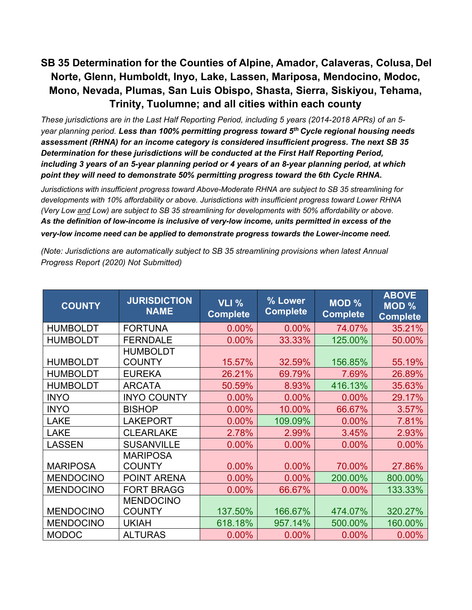# **SB 35 Determination for the Counties of Alpine, Amador, Calaveras, Colusa, Del Norte, Glenn, Humboldt, Inyo, Lake, Lassen, Mariposa, Mendocino, Modoc, Mono, Nevada, Plumas, San Luis Obispo, Shasta, Sierra, Siskiyou, Tehama, Trinity, Tuolumne; and all cities within each county**

*These jurisdictions are in the Last Half Reporting Period, including 5 years (2014-2018 APRs) of an 5 year planning period. Less than 100% permitting progress toward 5th Cycle regional housing needs assessment (RHNA) for an income category is considered insufficient progress. The next SB 35 Determination for these jurisdictions will be conducted at the First Half Reporting Period, including 3 years of an 5-year planning period or 4 years of an 8-year planning period, at which point they will need to demonstrate 50% permitting progress toward the 6th Cycle RHNA.*

*Jurisdictions with insufficient progress toward Above-Moderate RHNA are subject to SB 35 streamlining for developments with 10% affordability or above. Jurisdictions with insufficient progress toward Lower RHNA (Very Low and Low) are subject to SB 35 streamlining for developments with 50% affordability or above. As the definition of low-income is inclusive of very-low income, units permitted in excess of the very-low income need can be applied to demonstrate progress towards the Lower-income need.*

| <b>COUNTY</b>    | <b>JURISDICTION</b><br><b>NAME</b> | <b>VLI %</b><br><b>Complete</b> | % Lower<br><b>Complete</b> | MOD %<br><b>Complete</b> | <b>ABOVE</b><br>MOD %<br><b>Complete</b> |
|------------------|------------------------------------|---------------------------------|----------------------------|--------------------------|------------------------------------------|
| <b>HUMBOLDT</b>  | <b>FORTUNA</b>                     | 0.00%                           | 0.00%                      | 74.07%                   | 35.21%                                   |
| <b>HUMBOLDT</b>  | <b>FERNDALE</b>                    | 0.00%                           | 33.33%                     | 125.00%                  | 50.00%                                   |
| <b>HUMBOLDT</b>  | <b>HUMBOLDT</b><br><b>COUNTY</b>   | 15.57%                          | 32.59%                     | 156.85%                  | 55.19%                                   |
| <b>HUMBOLDT</b>  | <b>EUREKA</b>                      | 26.21%                          | 69.79%                     | 7.69%                    | 26.89%                                   |
| <b>HUMBOLDT</b>  | <b>ARCATA</b>                      | 50.59%                          | 8.93%                      | 416.13%                  | 35.63%                                   |
| <b>INYO</b>      | <b>INYO COUNTY</b>                 | 0.00%                           | 0.00%                      | 0.00%                    | 29.17%                                   |
| <b>INYO</b>      | <b>BISHOP</b>                      | 0.00%                           | 10.00%                     | 66.67%                   | 3.57%                                    |
| <b>LAKE</b>      | <b>LAKEPORT</b>                    | 0.00%                           | 109.09%                    | 0.00%                    | 7.81%                                    |
| <b>LAKE</b>      | <b>CLEARLAKE</b>                   | 2.78%                           | 2.99%                      | 3.45%                    | 2.93%                                    |
| <b>LASSEN</b>    | <b>SUSANVILLE</b>                  | 0.00%                           | 0.00%                      | 0.00%                    | 0.00%                                    |
| <b>MARIPOSA</b>  | <b>MARIPOSA</b><br><b>COUNTY</b>   | 0.00%                           | 0.00%                      | 70.00%                   | 27.86%                                   |
| <b>MENDOCINO</b> | POINT ARENA                        | 0.00%                           | 0.00%                      | 200.00%                  | 800.00%                                  |
| <b>MENDOCINO</b> | <b>FORT BRAGG</b>                  | 0.00%                           | 66.67%                     | 0.00%                    | 133.33%                                  |
|                  | <b>MENDOCINO</b>                   |                                 |                            |                          |                                          |
| <b>MENDOCINO</b> | <b>COUNTY</b>                      | 137.50%                         | 166.67%                    | 474.07%                  | 320.27%                                  |
| <b>MENDOCINO</b> | <b>UKIAH</b>                       | 618.18%                         | 957.14%                    | 500.00%                  | 160.00%                                  |
| <b>MODOC</b>     | <b>ALTURAS</b>                     | 0.00%                           | 0.00%                      | 0.00%                    | 0.00%                                    |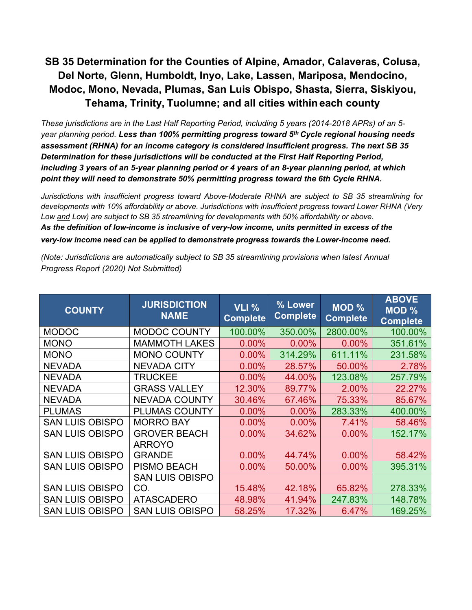# **SB 35 Determination for the Counties of Alpine, Amador, Calaveras, Colusa, Del Norte, Glenn, Humboldt, Inyo, Lake, Lassen, Mariposa, Mendocino, Modoc, Mono, Nevada, Plumas, San Luis Obispo, Shasta, Sierra, Siskiyou, Tehama, Trinity, Tuolumne; and all cities withineach county**

*These jurisdictions are in the Last Half Reporting Period, including 5 years (2014-2018 APRs) of an 5 year planning period. Less than 100% permitting progress toward 5th Cycle regional housing needs assessment (RHNA) for an income category is considered insufficient progress. The next SB 35 Determination for these jurisdictions will be conducted at the First Half Reporting Period, including 3 years of an 5-year planning period or 4 years of an 8-year planning period, at which point they will need to demonstrate 50% permitting progress toward the 6th Cycle RHNA.*

*Jurisdictions with insufficient progress toward Above-Moderate RHNA are subject to SB 35 streamlining for developments with 10% affordability or above. Jurisdictions with insufficient progress toward Lower RHNA (Very Low and Low) are subject to SB 35 streamlining for developments with 50% affordability or above. As the definition of low-income is inclusive of very-low income, units permitted in excess of the very-low income need can be applied to demonstrate progress towards the Lower-income need.* 

| <b>COUNTY</b>          | <b>JURISDICTION</b><br><b>NAME</b> | <b>VLI %</b><br><b>Complete</b> | % Lower<br><b>Complete</b> | MOD %<br><b>Complete</b> | <b>ABOVE</b><br><b>MOD %</b><br><b>Complete</b> |
|------------------------|------------------------------------|---------------------------------|----------------------------|--------------------------|-------------------------------------------------|
| <b>MODOC</b>           | <b>MODOC COUNTY</b>                | 100.00%                         | 350.00%                    | 2800.00%                 | 100.00%                                         |
| <b>MONO</b>            | <b>MAMMOTH LAKES</b>               | 0.00%                           | 0.00%                      | 0.00%                    | 351.61%                                         |
| <b>MONO</b>            | <b>MONO COUNTY</b>                 | 0.00%                           | 314.29%                    | 611.11%                  | 231.58%                                         |
| <b>NEVADA</b>          | <b>NEVADA CITY</b>                 | $0.00\%$                        | 28.57%                     | 50.00%                   | 2.78%                                           |
| <b>NEVADA</b>          | <b>TRUCKEE</b>                     | 0.00%                           | 44.00%                     | 123.08%                  | 257.79%                                         |
| <b>NEVADA</b>          | <b>GRASS VALLEY</b>                | 12.30%                          | 89.77%                     | 2.00%                    | 22.27%                                          |
| <b>NEVADA</b>          | <b>NEVADA COUNTY</b>               | 30.46%                          | 67.46%                     | 75.33%                   | 85.67%                                          |
| <b>PLUMAS</b>          | <b>PLUMAS COUNTY</b>               | 0.00%                           | 0.00%                      | 283.33%                  | 400.00%                                         |
| <b>SAN LUIS OBISPO</b> | <b>MORRO BAY</b>                   | 0.00%                           | 0.00%                      | 7.41%                    | 58.46%                                          |
| <b>SAN LUIS OBISPO</b> | <b>GROVER BEACH</b>                | 0.00%                           | 34.62%                     | 0.00%                    | 152.17%                                         |
|                        | <b>ARROYO</b>                      |                                 |                            |                          |                                                 |
| <b>SAN LUIS OBISPO</b> | <b>GRANDE</b>                      | 0.00%                           | 44.74%                     | 0.00%                    | 58.42%                                          |
| <b>SAN LUIS OBISPO</b> | <b>PISMO BEACH</b>                 | 0.00%                           | 50.00%                     | $0.00\%$                 | 395.31%                                         |
|                        | <b>SAN LUIS OBISPO</b>             |                                 |                            |                          |                                                 |
| <b>SAN LUIS OBISPO</b> | CO.                                | 15.48%                          | 42.18%                     | 65.82%                   | 278.33%                                         |
| <b>SAN LUIS OBISPO</b> | <b>ATASCADERO</b>                  | 48.98%                          | 41.94%                     | 247.83%                  | 148.78%                                         |
| <b>SAN LUIS OBISPO</b> | <b>SAN LUIS OBISPO</b>             | 58.25%                          | 17.32%                     | 6.47%                    | 169.25%                                         |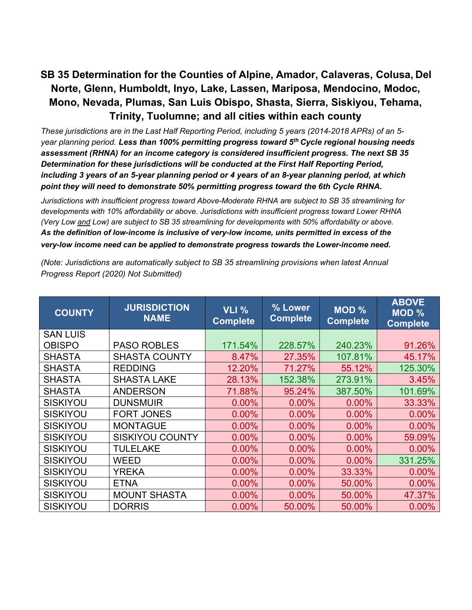# **SB 35 Determination for the Counties of Alpine, Amador, Calaveras, Colusa, Del Norte, Glenn, Humboldt, Inyo, Lake, Lassen, Mariposa, Mendocino, Modoc, Mono, Nevada, Plumas, San Luis Obispo, Shasta, Sierra, Siskiyou, Tehama, Trinity, Tuolumne; and all cities within each county**

*These jurisdictions are in the Last Half Reporting Period, including 5 years (2014-2018 APRs) of an 5 year planning period. Less than 100% permitting progress toward 5th Cycle regional housing needs assessment (RHNA) for an income category is considered insufficient progress. The next SB 35 Determination for these jurisdictions will be conducted at the First Half Reporting Period, including 3 years of an 5-year planning period or 4 years of an 8-year planning period, at which point they will need to demonstrate 50% permitting progress toward the 6th Cycle RHNA.*

*Jurisdictions with insufficient progress toward Above-Moderate RHNA are subject to SB 35 streamlining for developments with 10% affordability or above. Jurisdictions with insufficient progress toward Lower RHNA (Very Low and Low) are subject to SB 35 streamlining for developments with 50% affordability or above. As the definition of low-income is inclusive of very-low income, units permitted in excess of the very-low income need can be applied to demonstrate progress towards the Lower-income need.*

| <b>COUNTY</b>   | <b>JURISDICTION</b><br><b>NAME</b> | <b>VLI %</b><br><b>Complete</b> | % Lower<br><b>Complete</b> | MOD <sub>%</sub><br><b>Complete</b> | <b>ABOVE</b><br>MOD %<br><b>Complete</b> |
|-----------------|------------------------------------|---------------------------------|----------------------------|-------------------------------------|------------------------------------------|
| <b>SAN LUIS</b> |                                    |                                 |                            |                                     |                                          |
| <b>OBISPO</b>   | <b>PASO ROBLES</b>                 | 171.54%                         | 228.57%                    | 240.23%                             | 91.26%                                   |
| <b>SHASTA</b>   | <b>SHASTA COUNTY</b>               | 8.47%                           | 27.35%                     | 107.81%                             | 45.17%                                   |
| <b>SHASTA</b>   | <b>REDDING</b>                     | 12.20%                          | 71.27%                     | 55.12%                              | 125.30%                                  |
| <b>SHASTA</b>   | <b>SHASTA LAKE</b>                 | 28.13%                          | 152.38%                    | 273.91%                             | 3.45%                                    |
| <b>SHASTA</b>   | <b>ANDERSON</b>                    | 71.88%                          | 95.24%                     | 387.50%                             | 101.69%                                  |
| <b>SISKIYOU</b> | <b>DUNSMUIR</b>                    | 0.00%                           | 0.00%                      | $0.00\%$                            | 33.33%                                   |
| <b>SISKIYOU</b> | <b>FORT JONES</b>                  | 0.00%                           | $0.00\%$                   | $0.00\%$                            | 0.00%                                    |
| <b>SISKIYOU</b> | <b>MONTAGUE</b>                    | 0.00%                           | $0.00\%$                   | $0.00\%$                            | 0.00%                                    |
| <b>SISKIYOU</b> | <b>SISKIYOU COUNTY</b>             | 0.00%                           | $0.00\%$                   | $0.00\%$                            | 59.09%                                   |
| <b>SISKIYOU</b> | <b>TULELAKE</b>                    | 0.00%                           | $0.00\%$                   | $0.00\%$                            | 0.00%                                    |
| <b>SISKIYOU</b> | <b>WEED</b>                        | 0.00%                           | $0.00\%$                   | 0.00%                               | 331.25%                                  |
| <b>SISKIYOU</b> | <b>YREKA</b>                       | 0.00%                           | $0.00\%$                   | 33.33%                              | 0.00%                                    |
| <b>SISKIYOU</b> | <b>ETNA</b>                        | 0.00%                           | $0.00\%$                   | 50.00%                              | 0.00%                                    |
| <b>SISKIYOU</b> | <b>MOUNT SHASTA</b>                | 0.00%                           | $0.00\%$                   | 50.00%                              | 47.37%                                   |
| <b>SISKIYOU</b> | <b>DORRIS</b>                      | 0.00%                           | 50.00%                     | 50.00%                              | $0.00\%$                                 |